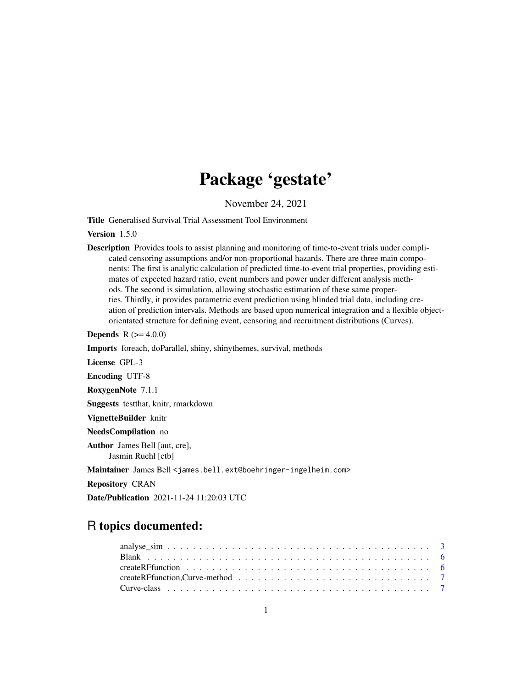# Package 'gestate'

November 24, 2021

Title Generalised Survival Trial Assessment Tool Environment

Version 1.5.0

Description Provides tools to assist planning and monitoring of time-to-event trials under complicated censoring assumptions and/or non-proportional hazards. There are three main components: The first is analytic calculation of predicted time-to-event trial properties, providing estimates of expected hazard ratio, event numbers and power under different analysis methods. The second is simulation, allowing stochastic estimation of these same properties. Thirdly, it provides parametric event prediction using blinded trial data, including creation of prediction intervals. Methods are based upon numerical integration and a flexible objectorientated structure for defining event, censoring and recruitment distributions (Curves).

**Depends** R  $(>= 4.0.0)$ 

Imports foreach, doParallel, shiny, shinythemes, survival, methods

License GPL-3

Encoding UTF-8

RoxygenNote 7.1.1

Suggests testthat, knitr, rmarkdown

VignetteBuilder knitr

NeedsCompilation no

Author James Bell [aut, cre], Jasmin Ruehl [ctb]

Maintainer James Bell <james.bell.ext@boehringer-ingelheim.com>

Repository CRAN

Date/Publication 2021-11-24 11:20:03 UTC

## R topics documented: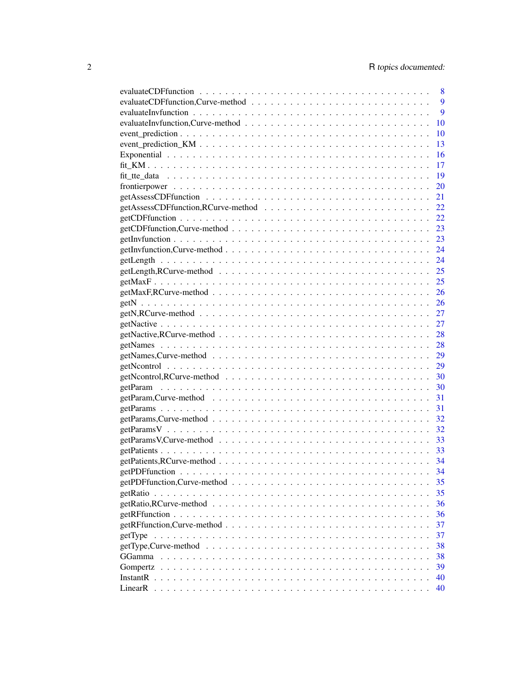|                                                                                                             | 8  |
|-------------------------------------------------------------------------------------------------------------|----|
|                                                                                                             | 9  |
|                                                                                                             | 9  |
|                                                                                                             | 10 |
|                                                                                                             | 10 |
|                                                                                                             | 13 |
|                                                                                                             | 16 |
|                                                                                                             | 17 |
|                                                                                                             | 19 |
|                                                                                                             | 20 |
|                                                                                                             | 21 |
|                                                                                                             | 22 |
|                                                                                                             | 22 |
|                                                                                                             | 23 |
|                                                                                                             | 23 |
|                                                                                                             | 24 |
|                                                                                                             | 24 |
|                                                                                                             | 25 |
|                                                                                                             | 25 |
|                                                                                                             | 26 |
|                                                                                                             | 26 |
|                                                                                                             | 27 |
|                                                                                                             | 27 |
|                                                                                                             | 28 |
|                                                                                                             | 28 |
|                                                                                                             | 29 |
|                                                                                                             | 29 |
|                                                                                                             | 30 |
|                                                                                                             | 30 |
|                                                                                                             | 31 |
|                                                                                                             | 31 |
|                                                                                                             | 32 |
|                                                                                                             | 32 |
|                                                                                                             | 33 |
|                                                                                                             | 33 |
|                                                                                                             | 34 |
|                                                                                                             | 34 |
|                                                                                                             | 35 |
|                                                                                                             | 35 |
|                                                                                                             | 36 |
|                                                                                                             | 36 |
|                                                                                                             | 37 |
|                                                                                                             | 37 |
| $getType, Curve-method \dots \dots \dots \dots \dots \dots \dots \dots \dots \dots \dots \dots \dots \dots$ | 38 |
|                                                                                                             | 38 |
|                                                                                                             | 39 |
|                                                                                                             | 40 |
|                                                                                                             | 40 |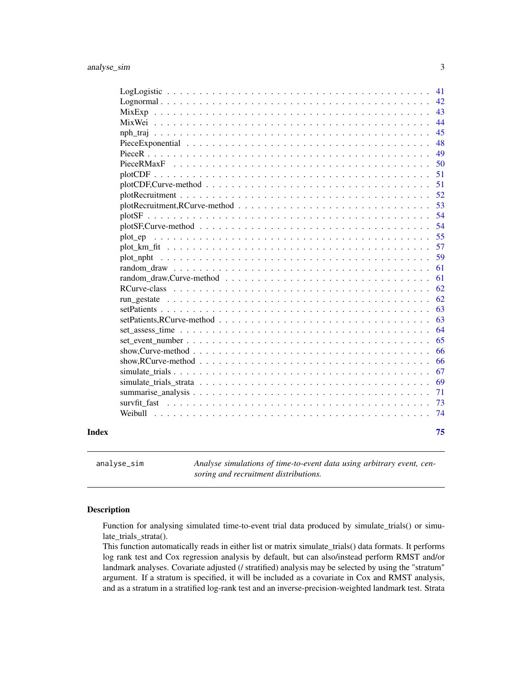<span id="page-2-0"></span>

|       |                                                                                                                  | 42<br>43 |
|-------|------------------------------------------------------------------------------------------------------------------|----------|
|       |                                                                                                                  | 44       |
|       |                                                                                                                  | 45       |
|       |                                                                                                                  | 48       |
|       |                                                                                                                  | 49       |
|       |                                                                                                                  | 50       |
|       |                                                                                                                  | 51       |
|       |                                                                                                                  | 51       |
|       |                                                                                                                  | 52       |
|       |                                                                                                                  | 53       |
|       |                                                                                                                  | 54       |
|       | $plotsF,Curve-method \dots \dots \dots \dots \dots \dots \dots \dots \dots \dots \dots \dots \dots \dots \dots$  | 54       |
|       |                                                                                                                  | 55       |
|       |                                                                                                                  | 57       |
|       |                                                                                                                  | 59       |
|       |                                                                                                                  | 61       |
|       |                                                                                                                  | 61       |
|       |                                                                                                                  | 62       |
|       |                                                                                                                  | 62       |
|       |                                                                                                                  | 63       |
|       |                                                                                                                  | 63       |
|       |                                                                                                                  | 64       |
|       |                                                                                                                  | 65       |
|       |                                                                                                                  | 66       |
|       | show, RCurve-method $\ldots \ldots \ldots \ldots \ldots \ldots \ldots \ldots \ldots \ldots \ldots \ldots \ldots$ | 66       |
|       |                                                                                                                  | 67       |
|       |                                                                                                                  | 69       |
|       |                                                                                                                  | 71       |
|       |                                                                                                                  | 73       |
|       |                                                                                                                  | 74       |
| Index |                                                                                                                  | 75       |

analyse\_sim *Analyse simulations of time-to-event data using arbitrary event, censoring and recruitment distributions.*

### Description

Function for analysing simulated time-to-event trial data produced by simulate\_trials() or simulate\_trials\_strata().

This function automatically reads in either list or matrix simulate\_trials() data formats. It performs log rank test and Cox regression analysis by default, but can also/instead perform RMST and/or landmark analyses. Covariate adjusted (/ stratified) analysis may be selected by using the "stratum" argument. If a stratum is specified, it will be included as a covariate in Cox and RMST analysis, and as a stratum in a stratified log-rank test and an inverse-precision-weighted landmark test. Strata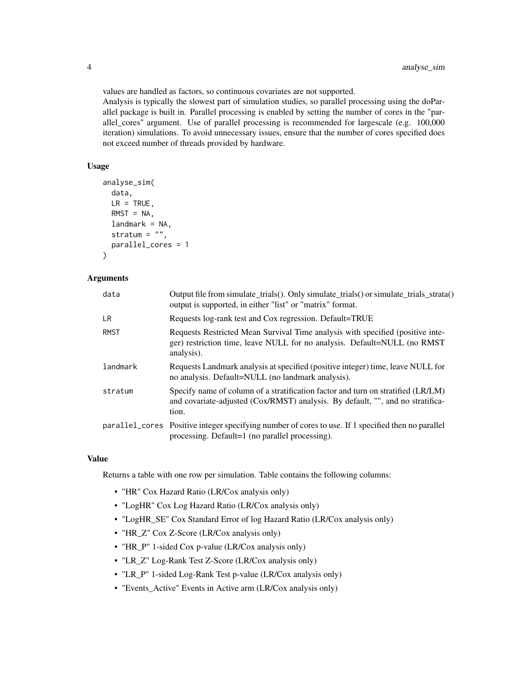values are handled as factors, so continuous covariates are not supported.

Analysis is typically the slowest part of simulation studies, so parallel processing using the doParallel package is built in. Parallel processing is enabled by setting the number of cores in the "parallel\_cores" argument. Use of parallel processing is recommended for largescale (e.g. 100,000 iteration) simulations. To avoid unnecessary issues, ensure that the number of cores specified does not exceed number of threads provided by hardware.

#### Usage

```
analyse_sim(
  data,
 LR = TRUE,RMST = NA,
 landmark = NA,stratum = ",
 parallel_cores = 1
\lambda
```
#### Arguments

| data        | Output file from simulate_trials(). Only simulate_trials() or simulate_trials_strata()<br>output is supported, in either "list" or "matrix" format.                         |
|-------------|-----------------------------------------------------------------------------------------------------------------------------------------------------------------------------|
| LR.         | Requests log-rank test and Cox regression. Default=TRUE                                                                                                                     |
| <b>RMST</b> | Requests Restricted Mean Survival Time analysis with specified (positive inte-<br>ger) restriction time, leave NULL for no analysis. Default=NULL (no RMST<br>analysis).    |
| landmark    | Requests Landmark analysis at specified (positive integer) time, leave NULL for<br>no analysis. Default=NULL (no landmark analysis).                                        |
| stratum     | Specify name of column of a stratification factor and turn on stratified (LR/LM)<br>and covariate-adjusted (Cox/RMST) analysis. By default, "", and no stratifica-<br>tion. |
|             | parallel_cores Positive integer specifying number of cores to use. If 1 specified then no parallel<br>processing. Default=1 (no parallel processing).                       |

#### Value

Returns a table with one row per simulation. Table contains the following columns:

- "HR" Cox Hazard Ratio (LR/Cox analysis only)
- "LogHR" Cox Log Hazard Ratio (LR/Cox analysis only)
- "LogHR\_SE" Cox Standard Error of log Hazard Ratio (LR/Cox analysis only)
- "HR\_Z" Cox Z-Score (LR/Cox analysis only)
- "HR\_P" 1-sided Cox p-value (LR/Cox analysis only)
- "LR\_Z" Log-Rank Test Z-Score (LR/Cox analysis only)
- "LR\_P" 1-sided Log-Rank Test p-value (LR/Cox analysis only)
- "Events\_Active" Events in Active arm (LR/Cox analysis only)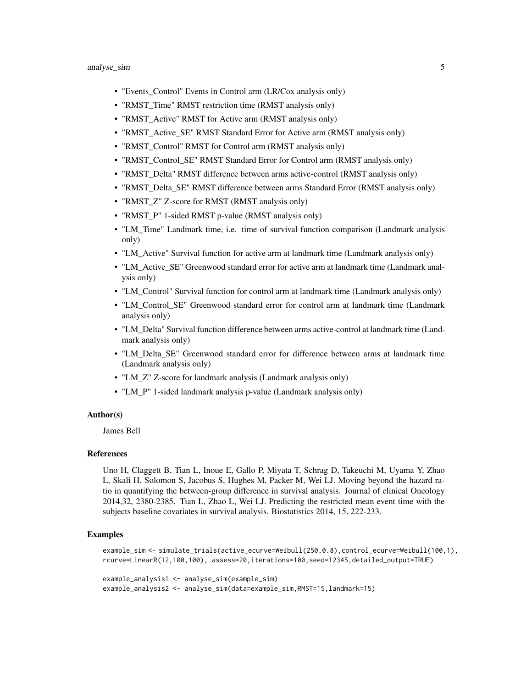- "Events\_Control" Events in Control arm (LR/Cox analysis only)
- "RMST\_Time" RMST restriction time (RMST analysis only)
- "RMST\_Active" RMST for Active arm (RMST analysis only)
- "RMST\_Active\_SE" RMST Standard Error for Active arm (RMST analysis only)
- "RMST\_Control" RMST for Control arm (RMST analysis only)
- "RMST\_Control\_SE" RMST Standard Error for Control arm (RMST analysis only)
- "RMST\_Delta" RMST difference between arms active-control (RMST analysis only)
- "RMST\_Delta\_SE" RMST difference between arms Standard Error (RMST analysis only)
- "RMST\_Z" Z-score for RMST (RMST analysis only)
- "RMST\_P" 1-sided RMST p-value (RMST analysis only)
- "LM\_Time" Landmark time, i.e. time of survival function comparison (Landmark analysis only)
- "LM\_Active" Survival function for active arm at landmark time (Landmark analysis only)
- "LM\_Active\_SE" Greenwood standard error for active arm at landmark time (Landmark analysis only)
- "LM\_Control" Survival function for control arm at landmark time (Landmark analysis only)
- "LM\_Control\_SE" Greenwood standard error for control arm at landmark time (Landmark analysis only)
- "LM\_Delta" Survival function difference between arms active-control at landmark time (Landmark analysis only)
- "LM\_Delta\_SE" Greenwood standard error for difference between arms at landmark time (Landmark analysis only)
- "LM\_Z" Z-score for landmark analysis (Landmark analysis only)
- "LM\_P" 1-sided landmark analysis p-value (Landmark analysis only)

#### Author(s)

James Bell

#### References

Uno H, Claggett B, Tian L, Inoue E, Gallo P, Miyata T, Schrag D, Takeuchi M, Uyama Y, Zhao L, Skali H, Solomon S, Jacobus S, Hughes M, Packer M, Wei LJ. Moving beyond the hazard ratio in quantifying the between-group difference in survival analysis. Journal of clinical Oncology 2014,32, 2380-2385. Tian L, Zhao L, Wei LJ. Predicting the restricted mean event time with the subjects baseline covariates in survival analysis. Biostatistics 2014, 15, 222-233.

#### Examples

```
example_sim <- simulate_trials(active_ecurve=Weibull(250,0.8),control_ecurve=Weibull(100,1),
rcurve=LinearR(12,100,100), assess=20,iterations=100,seed=12345,detailed_output=TRUE)
```

```
example_analysis1 <- analyse_sim(example_sim)
example_analysis2 <- analyse_sim(data=example_sim,RMST=15,landmark=15)
```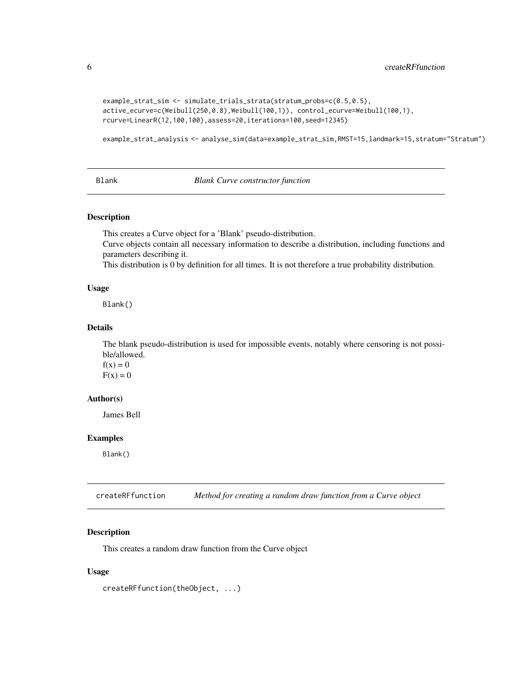```
example_strat_sim <- simulate_trials_strata(stratum_probs=c(0.5,0.5),
active_ecurve=c(Weibull(250,0.8),Weibull(100,1)), control_ecurve=Weibull(100,1),
rcurve=LinearR(12,100,100),assess=20,iterations=100,seed=12345)
```
example\_strat\_analysis <- analyse\_sim(data=example\_strat\_sim,RMST=15,landmark=15,stratum="Stratum")

#### Blank *Blank Curve constructor function*

#### Description

This creates a Curve object for a 'Blank' pseudo-distribution.

Curve objects contain all necessary information to describe a distribution, including functions and parameters describing it.

This distribution is 0 by definition for all times. It is not therefore a true probability distribution.

#### Usage

Blank()

#### Details

The blank pseudo-distribution is used for impossible events, notably where censoring is not possible/allowed.  $f(x) = 0$  $F(x) = 0$ 

#### Author(s)

James Bell

#### Examples

Blank()

createRFfunction *Method for creating a random draw function from a Curve object*

#### Description

This creates a random draw function from the Curve object

#### Usage

createRFfunction(theObject, ...)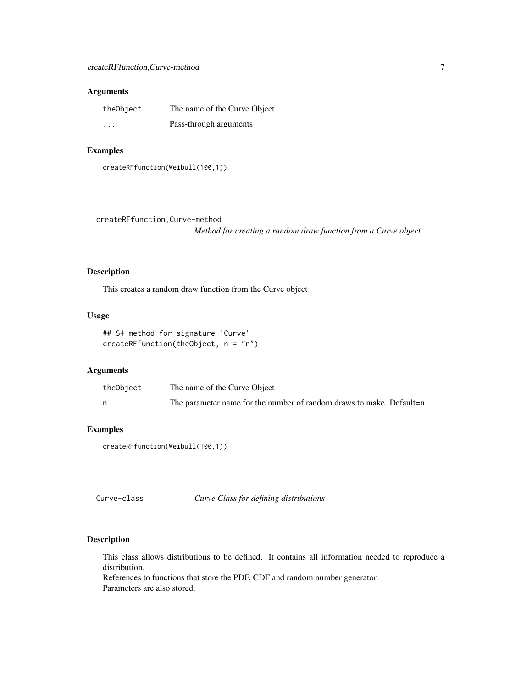#### <span id="page-6-0"></span>Arguments

| theObject | The name of the Curve Object |
|-----------|------------------------------|
| $\cdots$  | Pass-through arguments       |

### Examples

createRFfunction(Weibull(100,1))

createRFfunction,Curve-method

*Method for creating a random draw function from a Curve object*

### Description

This creates a random draw function from the Curve object

### Usage

```
## S4 method for signature 'Curve'
createRFfunction(theObject, n = "n")
```
#### Arguments

| theObject | The name of the Curve Object                                        |
|-----------|---------------------------------------------------------------------|
|           | The parameter name for the number of random draws to make. Default- |

### Examples

createRFfunction(Weibull(100,1))

Curve-class *Curve Class for defining distributions*

### Description

This class allows distributions to be defined. It contains all information needed to reproduce a distribution.

References to functions that store the PDF, CDF and random number generator. Parameters are also stored.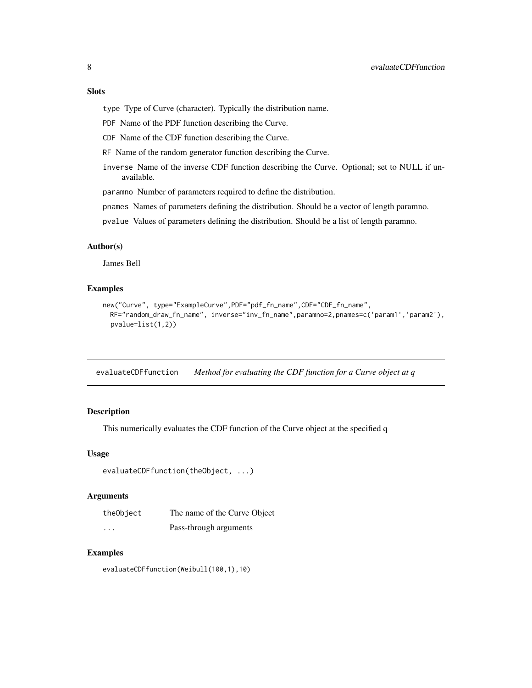#### <span id="page-7-0"></span>Slots

type Type of Curve (character). Typically the distribution name.

PDF Name of the PDF function describing the Curve.

CDF Name of the CDF function describing the Curve.

RF Name of the random generator function describing the Curve.

inverse Name of the inverse CDF function describing the Curve. Optional; set to NULL if unavailable.

paramno Number of parameters required to define the distribution.

pnames Names of parameters defining the distribution. Should be a vector of length paramno.

pvalue Values of parameters defining the distribution. Should be a list of length paramno.

#### Author(s)

James Bell

#### Examples

```
new("Curve", type="ExampleCurve", PDF="pdf_fn_name", CDF="CDF_fn_name",
 RF="random_draw_fn_name", inverse="inv_fn_name",paramno=2,pnames=c('param1','param2'),
 pvalue=list(1,2))
```
evaluateCDFfunction *Method for evaluating the CDF function for a Curve object at q*

### Description

This numerically evaluates the CDF function of the Curve object at the specified q

#### Usage

```
evaluateCDFfunction(theObject, ...)
```
#### Arguments

| theObject | The name of the Curve Object |
|-----------|------------------------------|
| $\cdots$  | Pass-through arguments       |

#### Examples

evaluateCDFfunction(Weibull(100,1),10)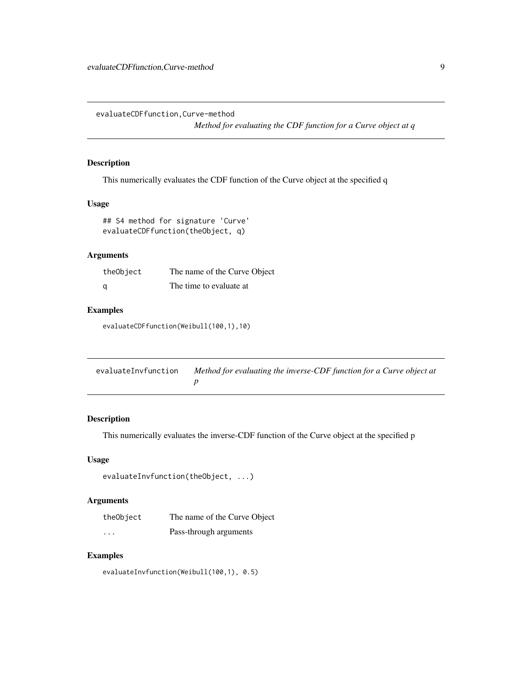<span id="page-8-0"></span>evaluateCDFfunction,Curve-method

*Method for evaluating the CDF function for a Curve object at q*

### Description

This numerically evaluates the CDF function of the Curve object at the specified q

#### Usage

```
## S4 method for signature 'Curve'
evaluateCDFfunction(theObject, q)
```
### Arguments

| theObject | The name of the Curve Object |
|-----------|------------------------------|
| - a       | The time to evaluate at      |

### Examples

evaluateCDFfunction(Weibull(100,1),10)

| evaluateInvfunction | Method for evaluating the inverse-CDF function for a Curve object at |
|---------------------|----------------------------------------------------------------------|
|                     |                                                                      |

### Description

This numerically evaluates the inverse-CDF function of the Curve object at the specified p

#### Usage

```
evaluateInvfunction(theObject, ...)
```
### Arguments

| theObject | The name of the Curve Object |
|-----------|------------------------------|
| $\cdots$  | Pass-through arguments       |

#### Examples

evaluateInvfunction(Weibull(100,1), 0.5)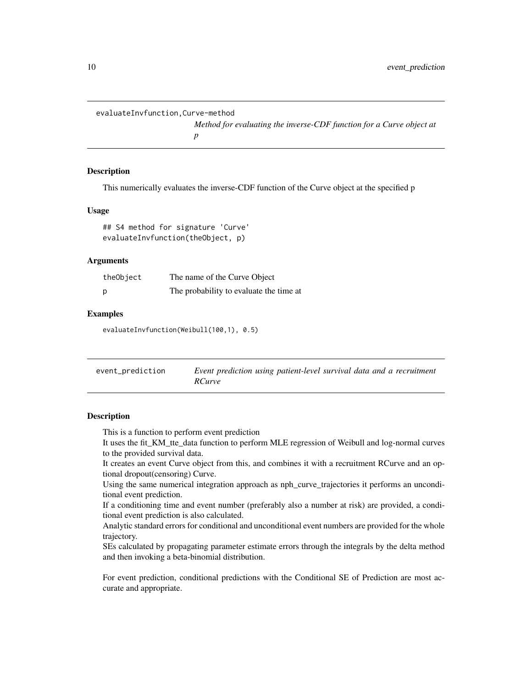<span id="page-9-0"></span>evaluateInvfunction,Curve-method

*Method for evaluating the inverse-CDF function for a Curve object at p*

#### **Description**

This numerically evaluates the inverse-CDF function of the Curve object at the specified p

#### Usage

## S4 method for signature 'Curve' evaluateInvfunction(theObject, p)

#### Arguments

| theObject | The name of the Curve Object            |
|-----------|-----------------------------------------|
| р         | The probability to evaluate the time at |

#### Examples

evaluateInvfunction(Weibull(100,1), 0.5)

event\_prediction *Event prediction using patient-level survival data and a recruitment RCurve*

### **Description**

This is a function to perform event prediction

It uses the fit\_KM\_tte\_data function to perform MLE regression of Weibull and log-normal curves to the provided survival data.

It creates an event Curve object from this, and combines it with a recruitment RCurve and an optional dropout(censoring) Curve.

Using the same numerical integration approach as nph\_curve\_trajectories it performs an unconditional event prediction.

If a conditioning time and event number (preferably also a number at risk) are provided, a conditional event prediction is also calculated.

Analytic standard errors for conditional and unconditional event numbers are provided for the whole trajectory.

SEs calculated by propagating parameter estimate errors through the integrals by the delta method and then invoking a beta-binomial distribution.

For event prediction, conditional predictions with the Conditional SE of Prediction are most accurate and appropriate.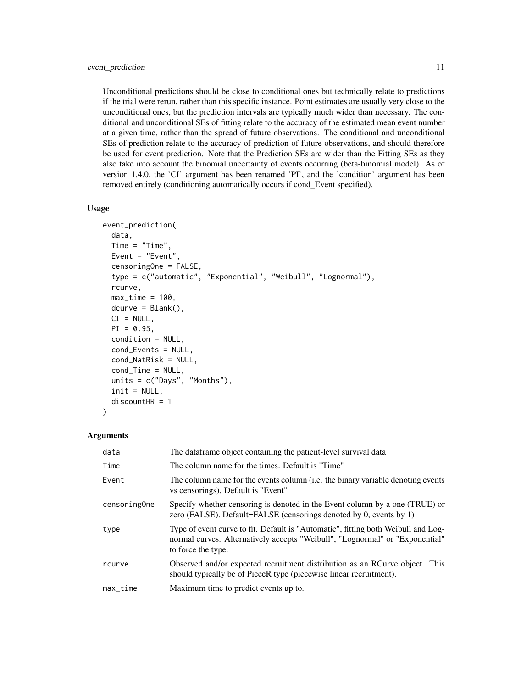Unconditional predictions should be close to conditional ones but technically relate to predictions if the trial were rerun, rather than this specific instance. Point estimates are usually very close to the unconditional ones, but the prediction intervals are typically much wider than necessary. The conditional and unconditional SEs of fitting relate to the accuracy of the estimated mean event number at a given time, rather than the spread of future observations. The conditional and unconditional SEs of prediction relate to the accuracy of prediction of future observations, and should therefore be used for event prediction. Note that the Prediction SEs are wider than the Fitting SEs as they also take into account the binomial uncertainty of events occurring (beta-binomial model). As of version 1.4.0, the 'CI' argument has been renamed 'PI', and the 'condition' argument has been removed entirely (conditioning automatically occurs if cond\_Event specified).

#### Usage

```
event_prediction(
  data,
  Time = "Time",
  Event = "Event",
  censoringOne = FALSE,
  type = c("automatic", "Exponential", "Weibull", "Lognormal"),
  rcurve,
  max_time = 100,
  dcurve = Blank(),CI = NULL,PI = 0.95,condition = NULL,
  cond_Events = NULL,
  cond_NatRisk = NULL,
  cond_Time = NULL,
  units = c("Days", "Months"),
  init = NULL,
  discountHR = 1)
```
#### Arguments

| data         | The dataframe object containing the patient-level survival data                                                                                                                         |
|--------------|-----------------------------------------------------------------------------------------------------------------------------------------------------------------------------------------|
| Time         | The column name for the times. Default is "Time"                                                                                                                                        |
| Event        | The column name for the events column ( <i>i.e.</i> the binary variable denoting events<br>vs censorings). Default is "Event"                                                           |
| censoringOne | Specify whether censoring is denoted in the Event column by a one (TRUE) or<br>zero (FALSE). Default=FALSE (censorings denoted by 0, events by 1)                                       |
| type         | Type of event curve to fit. Default is "Automatic", fitting both Weibull and Log-<br>normal curves. Alternatively accepts "Weibull", "Lognormal" or "Exponential"<br>to force the type. |
| rcurve       | Observed and/or expected recruitment distribution as an RCurve object. This<br>should typically be of PieceR type (piecewise linear recruitment).                                       |
| $max_time$   | Maximum time to predict events up to.                                                                                                                                                   |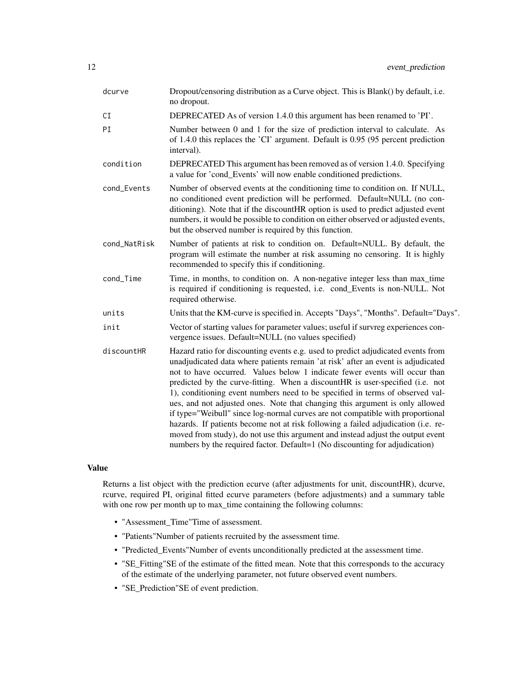| dcurve       | Dropout/censoring distribution as a Curve object. This is Blank() by default, i.e.<br>no dropout.                                                                                                                                                                                                                                                                                                                                                                                                                                                                                                                                                                                                                                                                                                                                             |  |
|--------------|-----------------------------------------------------------------------------------------------------------------------------------------------------------------------------------------------------------------------------------------------------------------------------------------------------------------------------------------------------------------------------------------------------------------------------------------------------------------------------------------------------------------------------------------------------------------------------------------------------------------------------------------------------------------------------------------------------------------------------------------------------------------------------------------------------------------------------------------------|--|
| CI           | DEPRECATED As of version 1.4.0 this argument has been renamed to 'PI'.                                                                                                                                                                                                                                                                                                                                                                                                                                                                                                                                                                                                                                                                                                                                                                        |  |
| PI           | Number between 0 and 1 for the size of prediction interval to calculate. As<br>of 1.4.0 this replaces the 'CI' argument. Default is 0.95 (95 percent prediction<br>interval).                                                                                                                                                                                                                                                                                                                                                                                                                                                                                                                                                                                                                                                                 |  |
| condition    | DEPRECATED This argument has been removed as of version 1.4.0. Specifying<br>a value for 'cond_Events' will now enable conditioned predictions.                                                                                                                                                                                                                                                                                                                                                                                                                                                                                                                                                                                                                                                                                               |  |
| cond_Events  | Number of observed events at the conditioning time to condition on. If NULL,<br>no conditioned event prediction will be performed. Default=NULL (no con-<br>ditioning). Note that if the discountHR option is used to predict adjusted event<br>numbers, it would be possible to condition on either observed or adjusted events,<br>but the observed number is required by this function.                                                                                                                                                                                                                                                                                                                                                                                                                                                    |  |
| cond_NatRisk | Number of patients at risk to condition on. Default=NULL. By default, the<br>program will estimate the number at risk assuming no censoring. It is highly<br>recommended to specify this if conditioning.                                                                                                                                                                                                                                                                                                                                                                                                                                                                                                                                                                                                                                     |  |
| cond_Time    | Time, in months, to condition on. A non-negative integer less than max_time<br>is required if conditioning is requested, i.e. cond_Events is non-NULL. Not<br>required otherwise.                                                                                                                                                                                                                                                                                                                                                                                                                                                                                                                                                                                                                                                             |  |
| units        | Units that the KM-curve is specified in. Accepts "Days", "Months". Default="Days".                                                                                                                                                                                                                                                                                                                                                                                                                                                                                                                                                                                                                                                                                                                                                            |  |
| init         | Vector of starting values for parameter values; useful if survreg experiences con-<br>vergence issues. Default=NULL (no values specified)                                                                                                                                                                                                                                                                                                                                                                                                                                                                                                                                                                                                                                                                                                     |  |
| discountHR   | Hazard ratio for discounting events e.g. used to predict adjudicated events from<br>unadjudicated data where patients remain 'at risk' after an event is adjudicated<br>not to have occurred. Values below 1 indicate fewer events will occur than<br>predicted by the curve-fitting. When a discountHR is user-specified (i.e. not<br>1), conditioning event numbers need to be specified in terms of observed val-<br>ues, and not adjusted ones. Note that changing this argument is only allowed<br>if type="Weibull" since log-normal curves are not compatible with proportional<br>hazards. If patients become not at risk following a failed adjudication (i.e. re-<br>moved from study), do not use this argument and instead adjust the output event<br>numbers by the required factor. Default=1 (No discounting for adjudication) |  |

#### Value

Returns a list object with the prediction ecurve (after adjustments for unit, discountHR), dcurve, rcurve, required PI, original fitted ecurve parameters (before adjustments) and a summary table with one row per month up to max\_time containing the following columns:

- "Assessment\_Time"Time of assessment.
- "Patients"Number of patients recruited by the assessment time.
- "Predicted\_Events"Number of events unconditionally predicted at the assessment time.
- "SE\_Fitting"SE of the estimate of the fitted mean. Note that this corresponds to the accuracy of the estimate of the underlying parameter, not future observed event numbers.
- "SE\_Prediction"SE of event prediction.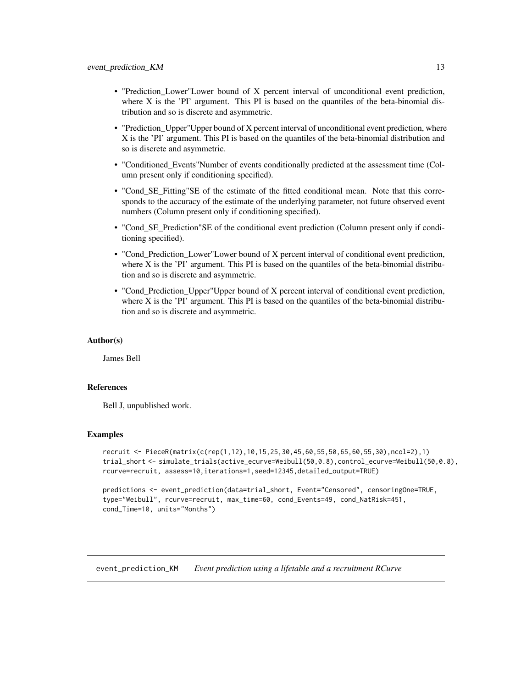- <span id="page-12-0"></span>• "Prediction\_Lower"Lower bound of X percent interval of unconditional event prediction, where  $X$  is the 'PI' argument. This PI is based on the quantiles of the beta-binomial distribution and so is discrete and asymmetric.
- "Prediction Upper"Upper bound of X percent interval of unconditional event prediction, where X is the 'PI' argument. This PI is based on the quantiles of the beta-binomial distribution and so is discrete and asymmetric.
- "Conditioned\_Events"Number of events conditionally predicted at the assessment time (Column present only if conditioning specified).
- "Cond\_SE\_Fitting"SE of the estimate of the fitted conditional mean. Note that this corresponds to the accuracy of the estimate of the underlying parameter, not future observed event numbers (Column present only if conditioning specified).
- "Cond\_SE\_Prediction"SE of the conditional event prediction (Column present only if conditioning specified).
- "Cond\_Prediction\_Lower"Lower bound of X percent interval of conditional event prediction, where X is the 'PI' argument. This PI is based on the quantiles of the beta-binomial distribution and so is discrete and asymmetric.
- "Cond\_Prediction\_Upper"Upper bound of X percent interval of conditional event prediction, where X is the 'PI' argument. This PI is based on the quantiles of the beta-binomial distribution and so is discrete and asymmetric.

#### Author(s)

James Bell

#### References

Bell J, unpublished work.

#### Examples

```
recruit <- PieceR(matrix(c(rep(1,12),10,15,25,30,45,60,55,50,65,60,55,30),ncol=2),1)
trial_short <- simulate_trials(active_ecurve=Weibull(50,0.8),control_ecurve=Weibull(50,0.8),
rcurve=recruit, assess=10,iterations=1,seed=12345,detailed_output=TRUE)
```

```
predictions <- event_prediction(data=trial_short, Event="Censored", censoringOne=TRUE,
type="Weibull", rcurve=recruit, max_time=60, cond_Events=49, cond_NatRisk=451,
cond_Time=10, units="Months")
```
event\_prediction\_KM *Event prediction using a lifetable and a recruitment RCurve*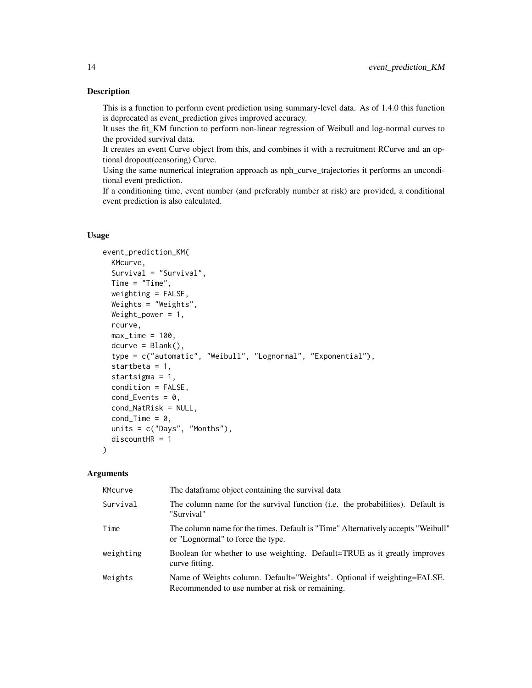#### Description

This is a function to perform event prediction using summary-level data. As of 1.4.0 this function is deprecated as event\_prediction gives improved accuracy.

It uses the fit\_KM function to perform non-linear regression of Weibull and log-normal curves to the provided survival data.

It creates an event Curve object from this, and combines it with a recruitment RCurve and an optional dropout(censoring) Curve.

Using the same numerical integration approach as nph\_curve\_trajectories it performs an unconditional event prediction.

If a conditioning time, event number (and preferably number at risk) are provided, a conditional event prediction is also calculated.

#### Usage

```
event_prediction_KM(
 KMcurve,
  Survival = "Survival",
 Time = "Time",
 weighting = FALSE,
 Weights = "Weights",
 Weight_power = 1,
  rcurve,
 max_time = 100,
  dcurve = Blank(),
  type = c("automatic", "Weibull", "Lognormal", "Exponential"),
  startbeta = 1,
  startsigma = 1,
  condition = FALSE,
  cond_{\text{Events}} = 0,
  cond_NatRisk = NULL,
  condTime = 0,
  units = c("Days", "Months"),
  discountHR = 1\lambda
```
#### Arguments

| KMcurve   | The dataframe object containing the survival data                                                                          |
|-----------|----------------------------------------------------------------------------------------------------------------------------|
| Survival  | The column name for the survival function ( <i>i.e.</i> the probabilities). Default is<br>"Survival"                       |
| Time      | The column name for the times. Default is "Time" Alternatively accepts "Weibull"<br>or "Lognormal" to force the type.      |
| weighting | Boolean for whether to use weighting. Default=TRUE as it greatly improves<br>curve fitting.                                |
| Weights   | Name of Weights column. Default="Weights". Optional if weighting=FALSE.<br>Recommended to use number at risk or remaining. |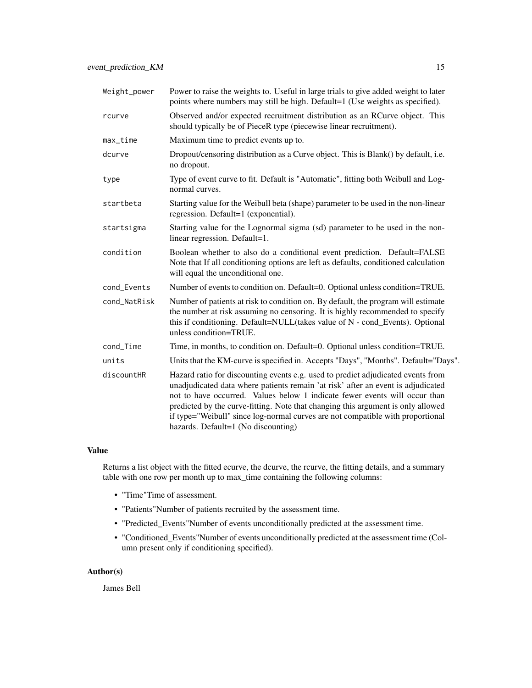| Weight_power | Power to raise the weights to. Useful in large trials to give added weight to later<br>points where numbers may still be high. Default=1 (Use weights as specified).                                                                                                                                                                                                                                                                                            |
|--------------|-----------------------------------------------------------------------------------------------------------------------------------------------------------------------------------------------------------------------------------------------------------------------------------------------------------------------------------------------------------------------------------------------------------------------------------------------------------------|
| rcurve       | Observed and/or expected recruitment distribution as an RCurve object. This<br>should typically be of PieceR type (piecewise linear recruitment).                                                                                                                                                                                                                                                                                                               |
| $max_time$   | Maximum time to predict events up to.                                                                                                                                                                                                                                                                                                                                                                                                                           |
| dcurve       | Dropout/censoring distribution as a Curve object. This is Blank() by default, i.e.<br>no dropout.                                                                                                                                                                                                                                                                                                                                                               |
| type         | Type of event curve to fit. Default is "Automatic", fitting both Weibull and Log-<br>normal curves.                                                                                                                                                                                                                                                                                                                                                             |
| startbeta    | Starting value for the Weibull beta (shape) parameter to be used in the non-linear<br>regression. Default=1 (exponential).                                                                                                                                                                                                                                                                                                                                      |
| startsigma   | Starting value for the Lognormal sigma (sd) parameter to be used in the non-<br>linear regression. Default=1.                                                                                                                                                                                                                                                                                                                                                   |
| condition    | Boolean whether to also do a conditional event prediction. Default=FALSE<br>Note that If all conditioning options are left as defaults, conditioned calculation<br>will equal the unconditional one.                                                                                                                                                                                                                                                            |
| cond_Events  | Number of events to condition on. Default=0. Optional unless condition=TRUE.                                                                                                                                                                                                                                                                                                                                                                                    |
| cond_NatRisk | Number of patients at risk to condition on. By default, the program will estimate<br>the number at risk assuming no censoring. It is highly recommended to specify<br>this if conditioning. Default=NULL(takes value of N - cond_Events). Optional<br>unless condition=TRUE.                                                                                                                                                                                    |
| cond_Time    | Time, in months, to condition on. Default=0. Optional unless condition=TRUE.                                                                                                                                                                                                                                                                                                                                                                                    |
| units        | Units that the KM-curve is specified in. Accepts "Days", "Months". Default="Days".                                                                                                                                                                                                                                                                                                                                                                              |
| discountHR   | Hazard ratio for discounting events e.g. used to predict adjudicated events from<br>unadjudicated data where patients remain 'at risk' after an event is adjudicated<br>not to have occurred. Values below 1 indicate fewer events will occur than<br>predicted by the curve-fitting. Note that changing this argument is only allowed<br>if type="Weibull" since log-normal curves are not compatible with proportional<br>hazards. Default=1 (No discounting) |

### Value

Returns a list object with the fitted ecurve, the dcurve, the rcurve, the fitting details, and a summary table with one row per month up to max\_time containing the following columns:

- "Time"Time of assessment.
- "Patients"Number of patients recruited by the assessment time.
- "Predicted\_Events"Number of events unconditionally predicted at the assessment time.
- "Conditioned\_Events"Number of events unconditionally predicted at the assessment time (Column present only if conditioning specified).

### Author(s)

James Bell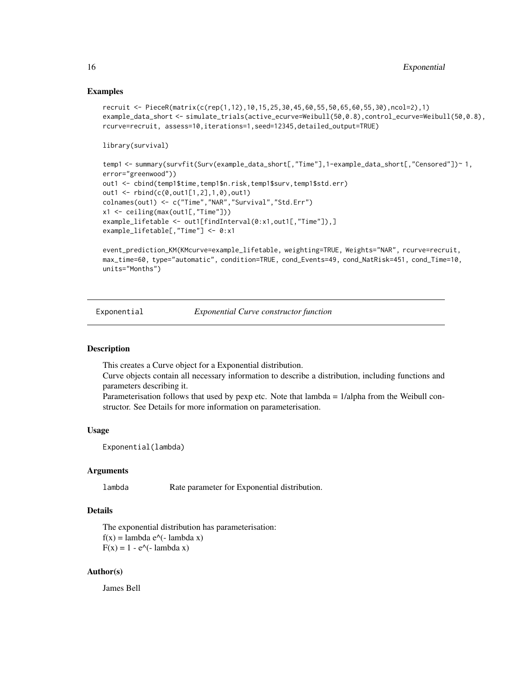#### Examples

```
recruit <- PieceR(matrix(c(rep(1,12),10,15,25,30,45,60,55,50,65,60,55,30),ncol=2),1)
example_data_short <- simulate_trials(active_ecurve=Weibull(50,0.8),control_ecurve=Weibull(50,0.8),
rcurve=recruit, assess=10,iterations=1,seed=12345,detailed_output=TRUE)
```

```
library(survival)
```

```
temp1 <- summary(survfit(Surv(example_data_short[,"Time"],1-example_data_short[,"Censored"])~ 1,
error="greenwood"))
out1 <- cbind(temp1$time,temp1$n.risk,temp1$surv,temp1$std.err)
out1 <- rbind(c(0,out1[1,2],1,0),out1)
colnames(out1) <- c("Time","NAR","Survival","Std.Err")
x1 <- ceiling(max(out1[,"Time"]))
example_lifetable <- out1[findInterval(0:x1,out1[,"Time"]),]
example_lifetable[,"Time"] <- 0:x1
```

```
event_prediction_KM(KMcurve=example_lifetable, weighting=TRUE, Weights="NAR", rcurve=recruit,
max_time=60, type="automatic", condition=TRUE, cond_Events=49, cond_NatRisk=451, cond_Time=10,
units="Months")
```
Exponential *Exponential Curve constructor function*

### Description

This creates a Curve object for a Exponential distribution.

Curve objects contain all necessary information to describe a distribution, including functions and parameters describing it.

Parameterisation follows that used by pexp etc. Note that lambda = 1/alpha from the Weibull constructor. See Details for more information on parameterisation.

#### Usage

Exponential(lambda)

#### Arguments

lambda Rate parameter for Exponential distribution.

### Details

The exponential distribution has parameterisation:  $f(x) =$ lambda e $\wedge$ (- lambda x)  $F(x) = 1 - e^{\Lambda}(- \lambda)$ 

#### Author(s)

James Bell

<span id="page-15-0"></span>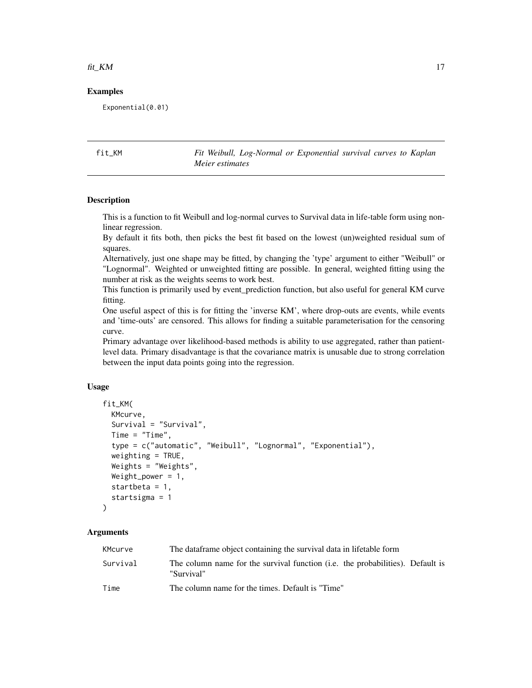#### <span id="page-16-0"></span> $fit\_KM$  17

#### Examples

Exponential(0.01)

fit\_KM *Fit Weibull, Log-Normal or Exponential survival curves to Kaplan Meier estimates*

### Description

This is a function to fit Weibull and log-normal curves to Survival data in life-table form using nonlinear regression.

By default it fits both, then picks the best fit based on the lowest (un)weighted residual sum of squares.

Alternatively, just one shape may be fitted, by changing the 'type' argument to either "Weibull" or "Lognormal". Weighted or unweighted fitting are possible. In general, weighted fitting using the number at risk as the weights seems to work best.

This function is primarily used by event\_prediction function, but also useful for general KM curve fitting.

One useful aspect of this is for fitting the 'inverse KM', where drop-outs are events, while events and 'time-outs' are censored. This allows for finding a suitable parameterisation for the censoring curve.

Primary advantage over likelihood-based methods is ability to use aggregated, rather than patientlevel data. Primary disadvantage is that the covariance matrix is unusable due to strong correlation between the input data points going into the regression.

#### Usage

```
fit_KM(
 KMcurve,
  Survival = "Survival",
  Time = "Time",
  type = c("automatic", "Weibull", "Lognormal", "Exponential"),
  weighting = TRUE,
  Weights = "Weights",
  Weight_power = 1,
  startbeta = 1,
  startsigma = 1
\lambda
```
#### Arguments

| KMcurve  | The data frame object containing the survival data in lifetable form                                 |
|----------|------------------------------------------------------------------------------------------------------|
| Survival | The column name for the survival function ( <i>i.e.</i> the probabilities). Default is<br>"Survival" |
| Time     | The column name for the times. Default is "Time"                                                     |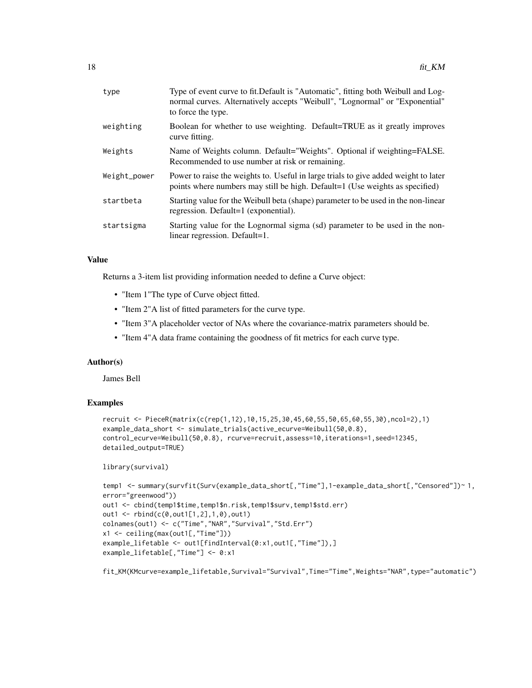| type         | Type of event curve to fit. Default is "Automatic", fitting both Weibull and Log-<br>normal curves. Alternatively accepts "Weibull", "Lognormal" or "Exponential"<br>to force the type. |
|--------------|-----------------------------------------------------------------------------------------------------------------------------------------------------------------------------------------|
| weighting    | Boolean for whether to use weighting. Default=TRUE as it greatly improves<br>curve fitting.                                                                                             |
| Weights      | Name of Weights column. Default="Weights". Optional if weighting=FALSE.<br>Recommended to use number at risk or remaining.                                                              |
| Weight_power | Power to raise the weights to. Useful in large trials to give added weight to later<br>points where numbers may still be high. Default=1 (Use weights as specified)                     |
| startbeta    | Starting value for the Weibull beta (shape) parameter to be used in the non-linear<br>regression. Default=1 (exponential).                                                              |
| startsigma   | Starting value for the Lognormal sigma (sd) parameter to be used in the non-<br>linear regression. Default=1.                                                                           |
|              |                                                                                                                                                                                         |

#### Value

Returns a 3-item list providing information needed to define a Curve object:

- "Item 1"The type of Curve object fitted.
- "Item 2"A list of fitted parameters for the curve type.
- "Item 3"A placeholder vector of NAs where the covariance-matrix parameters should be.
- "Item 4"A data frame containing the goodness of fit metrics for each curve type.

#### Author(s)

James Bell

#### Examples

```
recruit <- PieceR(matrix(c(rep(1,12),10,15,25,30,45,60,55,50,65,60,55,30),ncol=2),1)
example_data_short <- simulate_trials(active_ecurve=Weibull(50,0.8),
control_ecurve=Weibull(50,0.8), rcurve=recruit,assess=10,iterations=1,seed=12345,
detailed_output=TRUE)
```
library(survival)

```
temp1 <- summary(survfit(Surv(example_data_short[,"Time"],1-example_data_short[,"Censored"])~ 1,
error="greenwood"))
out1 <- cbind(temp1$time,temp1$n.risk,temp1$surv,temp1$std.err)
out1 <- rbind(c(0,out1[1,2],1,0),out1)
colnames(out1) <- c("Time","NAR","Survival","Std.Err")
x1 <- ceiling(max(out1[,"Time"]))
example_lifetable <- out1[findInterval(0:x1,out1[,"Time"]),]
example_lifetable[,"Time"] <- 0:x1
```
fit\_KM(KMcurve=example\_lifetable,Survival="Survival",Time="Time",Weights="NAR",type="automatic")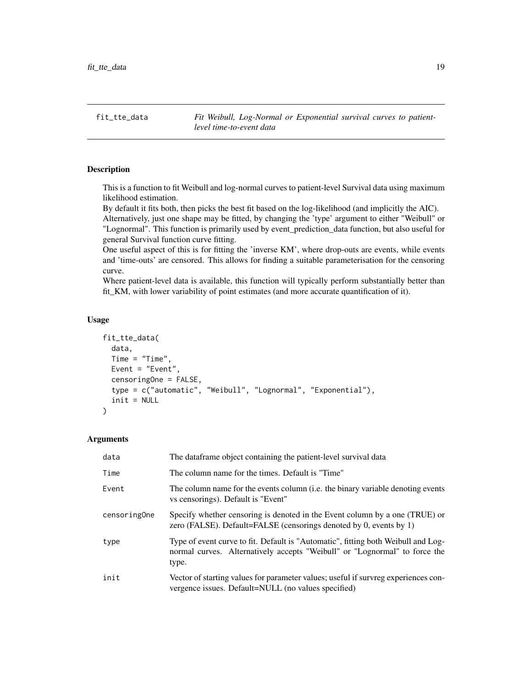<span id="page-18-0"></span>fit\_tte\_data *Fit Weibull, Log-Normal or Exponential survival curves to patientlevel time-to-event data*

#### Description

This is a function to fit Weibull and log-normal curves to patient-level Survival data using maximum likelihood estimation.

By default it fits both, then picks the best fit based on the log-likelihood (and implicitly the AIC). Alternatively, just one shape may be fitted, by changing the 'type' argument to either "Weibull" or "Lognormal". This function is primarily used by event\_prediction\_data function, but also useful for general Survival function curve fitting.

One useful aspect of this is for fitting the 'inverse KM', where drop-outs are events, while events and 'time-outs' are censored. This allows for finding a suitable parameterisation for the censoring curve.

Where patient-level data is available, this function will typically perform substantially better than fit\_KM, with lower variability of point estimates (and more accurate quantification of it).

### Usage

```
fit_tte_data(
  data,
  Time = "Time",
 Event = "Event",
  censoringOne = FALSE,
  type = c("automatic", "Weibull", "Lognormal", "Exponential"),
  init = NULL
)
```
### Arguments

| data         | The dataframe object containing the patient-level survival data                                                                                                          |
|--------------|--------------------------------------------------------------------------------------------------------------------------------------------------------------------------|
| Time         | The column name for the times. Default is "Time"                                                                                                                         |
| Event        | The column name for the events column ( <i>i.e.</i> the binary variable denoting events<br>vs censorings). Default is "Event"                                            |
| censoringOne | Specify whether censoring is denoted in the Event column by a one (TRUE) or<br>zero (FALSE). Default=FALSE (censorings denoted by 0, events by 1)                        |
| type         | Type of event curve to fit. Default is "Automatic", fitting both Weibull and Log-<br>normal curves. Alternatively accepts "Weibull" or "Lognormal" to force the<br>type. |
| init         | Vector of starting values for parameter values; useful if survreg experiences con-<br>vergence issues. Default=NULL (no values specified)                                |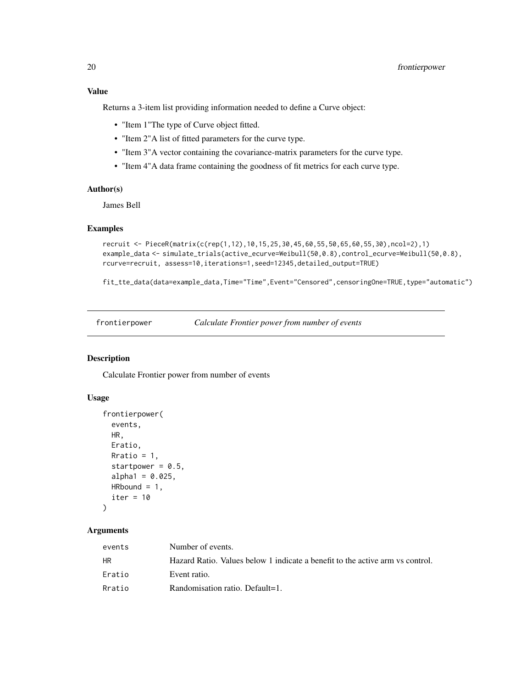<span id="page-19-0"></span>Returns a 3-item list providing information needed to define a Curve object:

- "Item 1"The type of Curve object fitted.
- "Item 2"A list of fitted parameters for the curve type.
- "Item 3"A vector containing the covariance-matrix parameters for the curve type.
- "Item 4"A data frame containing the goodness of fit metrics for each curve type.

#### Author(s)

James Bell

#### Examples

```
recruit <- PieceR(matrix(c(rep(1,12),10,15,25,30,45,60,55,50,65,60,55,30),ncol=2),1)
example_data <- simulate_trials(active_ecurve=Weibull(50,0.8),control_ecurve=Weibull(50,0.8),
rcurve=recruit, assess=10,iterations=1,seed=12345,detailed_output=TRUE)
```
fit\_tte\_data(data=example\_data,Time="Time",Event="Censored",censoringOne=TRUE,type="automatic")

frontierpower *Calculate Frontier power from number of events*

### Description

Calculate Frontier power from number of events

#### Usage

```
frontierpower(
  events,
 HR,
 Eratio,
 Rratio = 1,
  startpower = 0.5,
  alpha1 = 0.025,
 HRbound = 1,
  iter = 10
\lambda
```
### Arguments

| events | Number of events.                                                             |
|--------|-------------------------------------------------------------------------------|
| HR.    | Hazard Ratio. Values below 1 indicate a benefit to the active arm vs control. |
| Eratio | Event ratio.                                                                  |
| Rratio | Randomisation ratio. Default=1.                                               |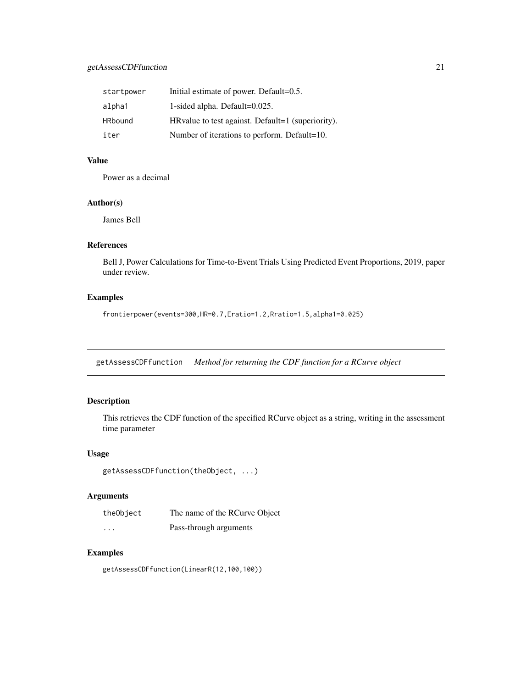<span id="page-20-0"></span>

| startpower | Initial estimate of power. Default=0.5.            |
|------------|----------------------------------------------------|
| alpha1     | 1-sided alpha. Default=0.025.                      |
| HRbound    | HR value to test against. Default=1 (superiority). |
| iter       | Number of iterations to perform. Default=10.       |

### Value

Power as a decimal

#### Author(s)

James Bell

### References

Bell J, Power Calculations for Time-to-Event Trials Using Predicted Event Proportions, 2019, paper under review.

### Examples

frontierpower(events=300,HR=0.7,Eratio=1.2,Rratio=1.5,alpha1=0.025)

getAssessCDFfunction *Method for returning the CDF function for a RCurve object*

### Description

This retrieves the CDF function of the specified RCurve object as a string, writing in the assessment time parameter

#### Usage

```
getAssessCDFfunction(theObject, ...)
```
### Arguments

| theObject | The name of the RCurve Object |
|-----------|-------------------------------|
| $\cdots$  | Pass-through arguments        |

#### Examples

getAssessCDFfunction(LinearR(12,100,100))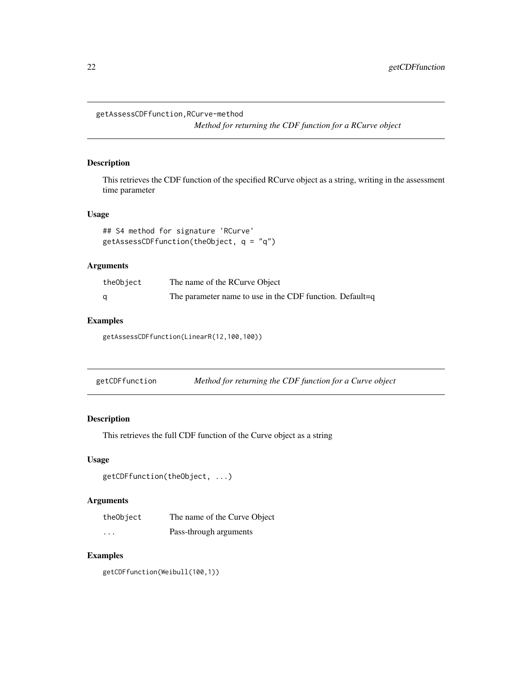<span id="page-21-0"></span>getAssessCDFfunction,RCurve-method

*Method for returning the CDF function for a RCurve object*

#### Description

This retrieves the CDF function of the specified RCurve object as a string, writing in the assessment time parameter

#### Usage

```
## S4 method for signature 'RCurve'
getAssessCDFfunction(theObject, q = "q")
```
### Arguments

| theObject | The name of the RCurve Object                            |
|-----------|----------------------------------------------------------|
|           | The parameter name to use in the CDF function. Default=q |

### Examples

getAssessCDFfunction(LinearR(12,100,100))

getCDFfunction *Method for returning the CDF function for a Curve object*

### Description

This retrieves the full CDF function of the Curve object as a string

#### Usage

```
getCDFfunction(theObject, ...)
```
### Arguments

| theObject | The name of the Curve Object |
|-----------|------------------------------|
| $\cdots$  | Pass-through arguments       |

### Examples

getCDFfunction(Weibull(100,1))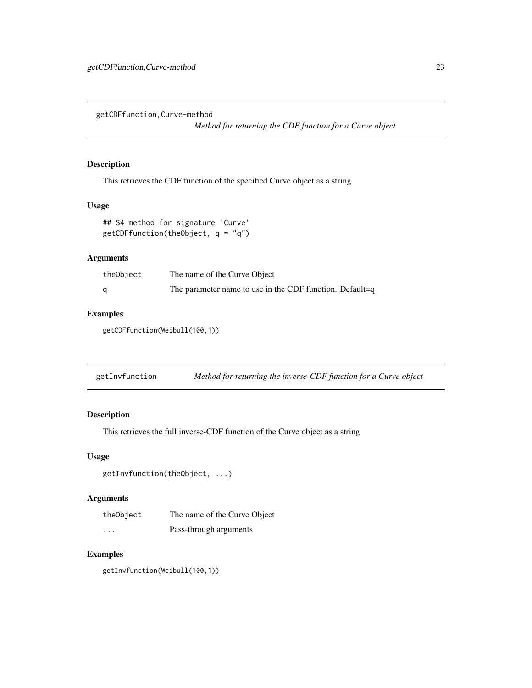<span id="page-22-0"></span>getCDFfunction,Curve-method

*Method for returning the CDF function for a Curve object*

#### Description

This retrieves the CDF function of the specified Curve object as a string

#### Usage

```
## S4 method for signature 'Curve'
getCDFfunction(theObject, q = "q")
```
### Arguments

| theObject | The name of the Curve Object                             |
|-----------|----------------------------------------------------------|
|           | The parameter name to use in the CDF function. Default=q |

#### Examples

getCDFfunction(Weibull(100,1))

| getInvfunction |  | Method for returning the inverse-CDF function for a Curve object |
|----------------|--|------------------------------------------------------------------|
|                |  |                                                                  |

### Description

This retrieves the full inverse-CDF function of the Curve object as a string

#### Usage

```
getInvfunction(theObject, ...)
```
#### Arguments

| theObject | The name of the Curve Object |
|-----------|------------------------------|
| .         | Pass-through arguments       |

### Examples

getInvfunction(Weibull(100,1))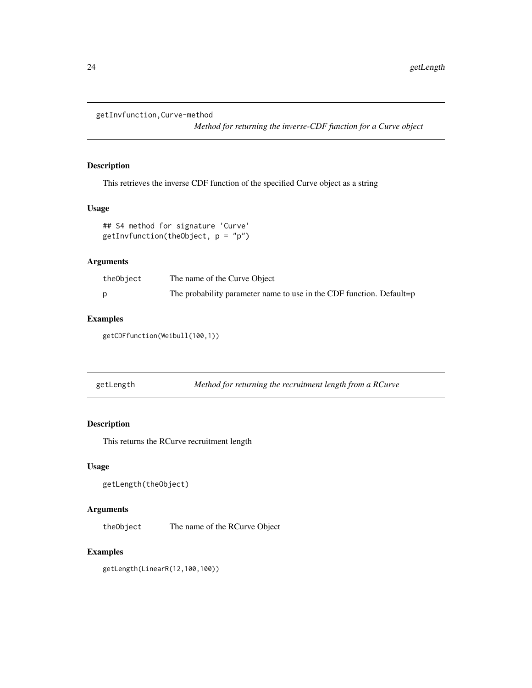<span id="page-23-0"></span>getInvfunction,Curve-method

*Method for returning the inverse-CDF function for a Curve object*

### Description

This retrieves the inverse CDF function of the specified Curve object as a string

### Usage

```
## S4 method for signature 'Curve'
getInvfunction(theObject, p = "p")
```
### Arguments

| theObject | The name of the Curve Object                                         |
|-----------|----------------------------------------------------------------------|
|           | The probability parameter name to use in the CDF function. Default=p |

### Examples

getCDFfunction(Weibull(100,1))

| getLength |  |  | Method for returning the recruitment length from a RCurve |
|-----------|--|--|-----------------------------------------------------------|
|           |  |  |                                                           |

#### Description

This returns the RCurve recruitment length

### Usage

```
getLength(theObject)
```
### Arguments

theObject The name of the RCurve Object

### Examples

getLength(LinearR(12,100,100))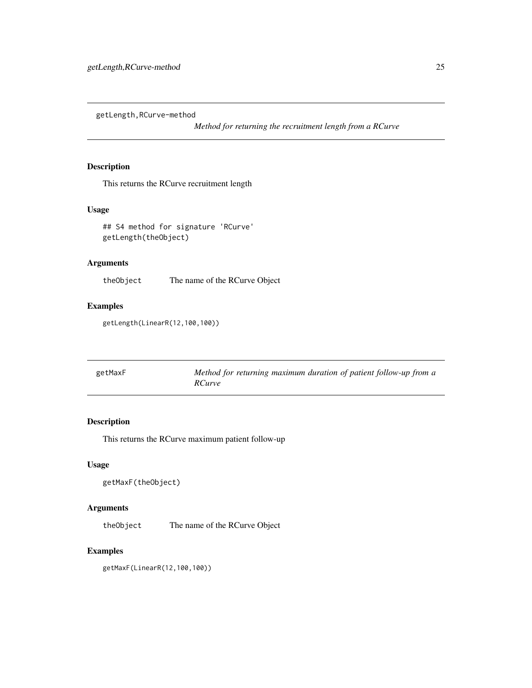<span id="page-24-0"></span>getLength,RCurve-method

*Method for returning the recruitment length from a RCurve*

### Description

This returns the RCurve recruitment length

### Usage

## S4 method for signature 'RCurve' getLength(theObject)

### Arguments

theObject The name of the RCurve Object

### Examples

getLength(LinearR(12,100,100))

| getMaxF | Method for returning maximum duration of patient follow-up from a |
|---------|-------------------------------------------------------------------|
|         | <i>RCurve</i>                                                     |

### Description

This returns the RCurve maximum patient follow-up

#### Usage

```
getMaxF(theObject)
```
#### Arguments

theObject The name of the RCurve Object

### Examples

getMaxF(LinearR(12,100,100))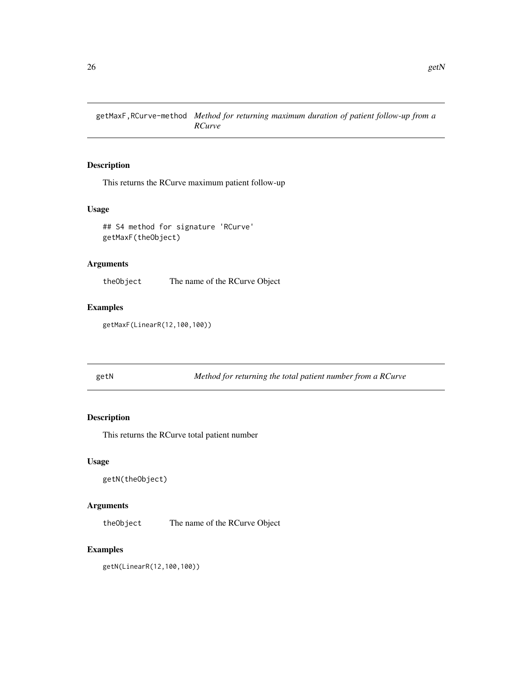<span id="page-25-0"></span>getMaxF,RCurve-method *Method for returning maximum duration of patient follow-up from a RCurve*

### Description

This returns the RCurve maximum patient follow-up

#### Usage

## S4 method for signature 'RCurve' getMaxF(theObject)

### Arguments

theObject The name of the RCurve Object

### Examples

getMaxF(LinearR(12,100,100))

getN *Method for returning the total patient number from a RCurve*

### Description

This returns the RCurve total patient number

#### Usage

```
getN(theObject)
```
### Arguments

theObject The name of the RCurve Object

### Examples

getN(LinearR(12,100,100))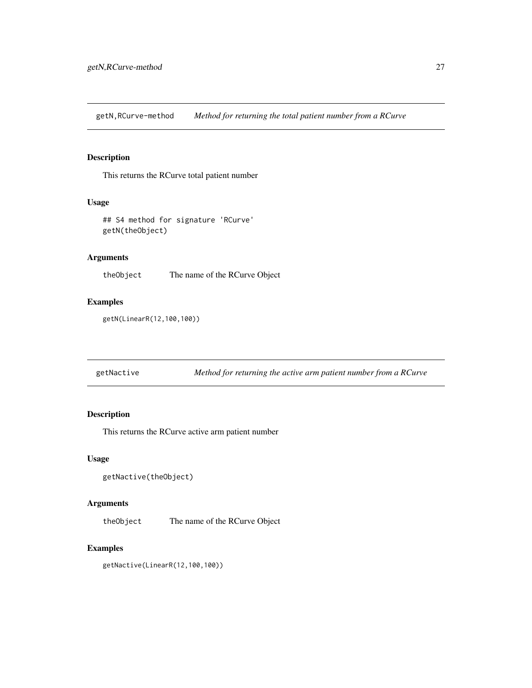<span id="page-26-0"></span>getN,RCurve-method *Method for returning the total patient number from a RCurve*

### Description

This returns the RCurve total patient number

#### Usage

```
## S4 method for signature 'RCurve'
getN(theObject)
```
### Arguments

theObject The name of the RCurve Object

#### Examples

getN(LinearR(12,100,100))

getNactive *Method for returning the active arm patient number from a RCurve*

### Description

This returns the RCurve active arm patient number

#### Usage

```
getNactive(theObject)
```
#### Arguments

theObject The name of the RCurve Object

#### Examples

getNactive(LinearR(12,100,100))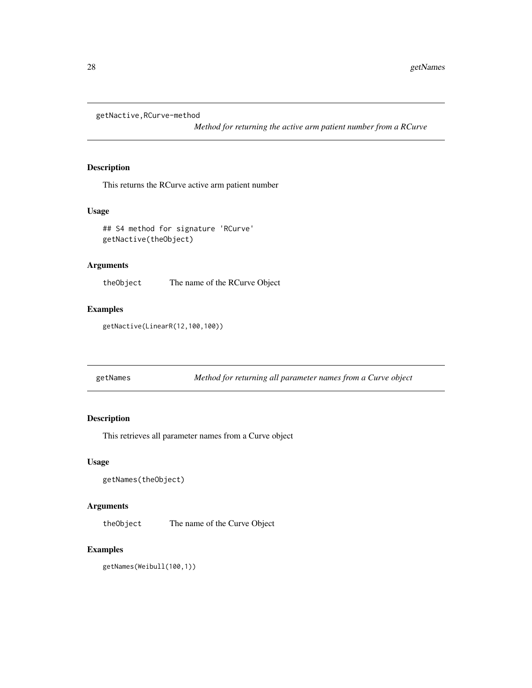<span id="page-27-0"></span>getNactive,RCurve-method

*Method for returning the active arm patient number from a RCurve*

#### Description

This returns the RCurve active arm patient number

#### Usage

## S4 method for signature 'RCurve' getNactive(theObject)

### Arguments

theObject The name of the RCurve Object

### Examples

getNactive(LinearR(12,100,100))

| getNames | Method for returning all parameter names from a Curve object |  |
|----------|--------------------------------------------------------------|--|

### Description

This retrieves all parameter names from a Curve object

#### Usage

```
getNames(theObject)
```
#### Arguments

theObject The name of the Curve Object

### Examples

getNames(Weibull(100,1))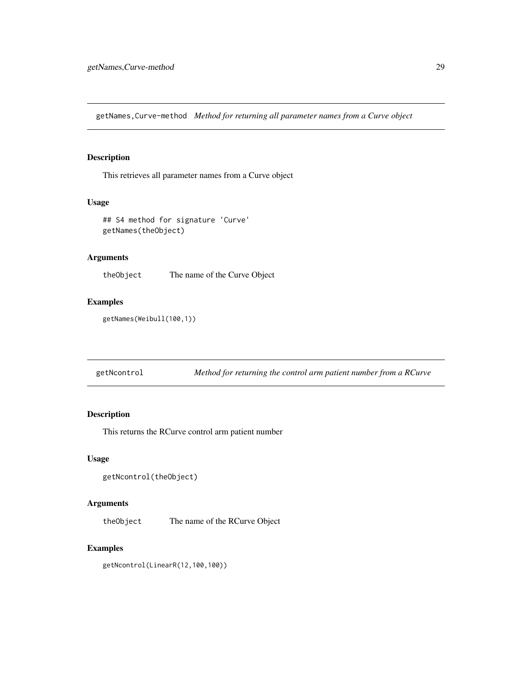<span id="page-28-0"></span>getNames,Curve-method *Method for returning all parameter names from a Curve object*

### Description

This retrieves all parameter names from a Curve object

#### Usage

```
## S4 method for signature 'Curve'
getNames(theObject)
```
### Arguments

theObject The name of the Curve Object

#### Examples

getNames(Weibull(100,1))

getNcontrol *Method for returning the control arm patient number from a RCurve*

### Description

This returns the RCurve control arm patient number

#### Usage

```
getNcontrol(theObject)
```
### Arguments

theObject The name of the RCurve Object

#### Examples

getNcontrol(LinearR(12,100,100))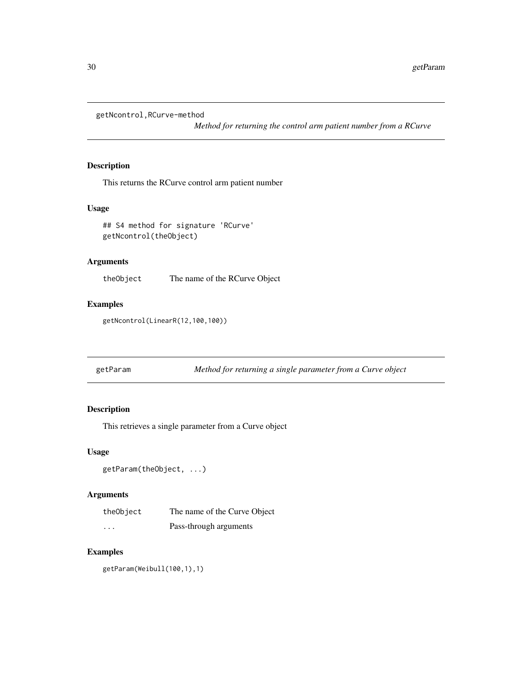<span id="page-29-0"></span>getNcontrol,RCurve-method

*Method for returning the control arm patient number from a RCurve*

### Description

This returns the RCurve control arm patient number

#### Usage

```
## S4 method for signature 'RCurve'
getNcontrol(theObject)
```
#### Arguments

theObject The name of the RCurve Object

### Examples

getNcontrol(LinearR(12,100,100))

getParam *Method for returning a single parameter from a Curve object*

### Description

This retrieves a single parameter from a Curve object

#### Usage

```
getParam(theObject, ...)
```
#### Arguments

| theObject | The name of the Curve Object |
|-----------|------------------------------|
| .         | Pass-through arguments       |

#### Examples

getParam(Weibull(100,1),1)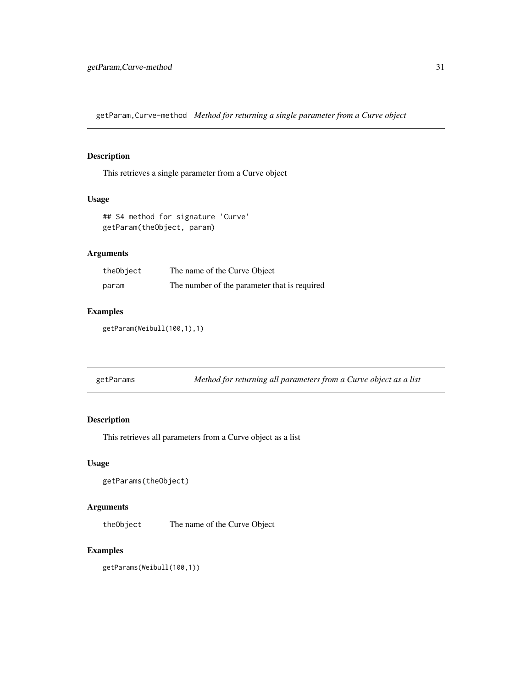<span id="page-30-0"></span>getParam,Curve-method *Method for returning a single parameter from a Curve object*

### Description

This retrieves a single parameter from a Curve object

#### Usage

```
## S4 method for signature 'Curve'
getParam(theObject, param)
```
### Arguments

| theObject | The name of the Curve Object                 |
|-----------|----------------------------------------------|
| param     | The number of the parameter that is required |

### Examples

getParam(Weibull(100,1),1)

| getParams |  | Method for returning all parameters from a Curve object as a list |
|-----------|--|-------------------------------------------------------------------|
|           |  |                                                                   |

### Description

This retrieves all parameters from a Curve object as a list

#### Usage

```
getParams(theObject)
```
#### Arguments

theObject The name of the Curve Object

### Examples

getParams(Weibull(100,1))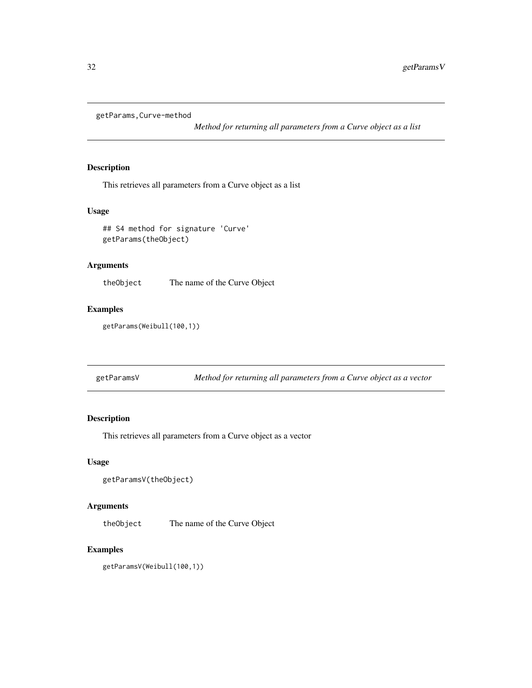<span id="page-31-0"></span>getParams,Curve-method

*Method for returning all parameters from a Curve object as a list*

#### Description

This retrieves all parameters from a Curve object as a list

### Usage

## S4 method for signature 'Curve' getParams(theObject)

### Arguments

theObject The name of the Curve Object

### Examples

getParams(Weibull(100,1))

| getParamsV | Method for returning all parameters from a Curve object as a vector |  |  |
|------------|---------------------------------------------------------------------|--|--|
|            |                                                                     |  |  |

### Description

This retrieves all parameters from a Curve object as a vector

#### Usage

```
getParamsV(theObject)
```
#### Arguments

theObject The name of the Curve Object

### Examples

getParamsV(Weibull(100,1))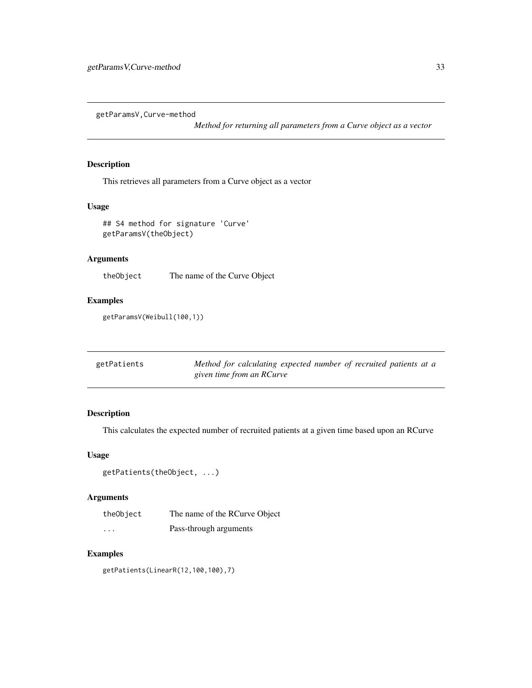<span id="page-32-0"></span>getParamsV,Curve-method

*Method for returning all parameters from a Curve object as a vector*

### Description

This retrieves all parameters from a Curve object as a vector

### Usage

```
## S4 method for signature 'Curve'
getParamsV(theObject)
```
### Arguments

theObject The name of the Curve Object

### Examples

getParamsV(Weibull(100,1))

| getPatients | Method for calculating expected number of recruited patients at a |
|-------------|-------------------------------------------------------------------|
|             | given time from an RCurve                                         |

### Description

This calculates the expected number of recruited patients at a given time based upon an RCurve

#### Usage

```
getPatients(theObject, ...)
```
### Arguments

| theObject | The name of the RCurve Object |
|-----------|-------------------------------|
| .         | Pass-through arguments        |

### Examples

getPatients(LinearR(12,100,100),7)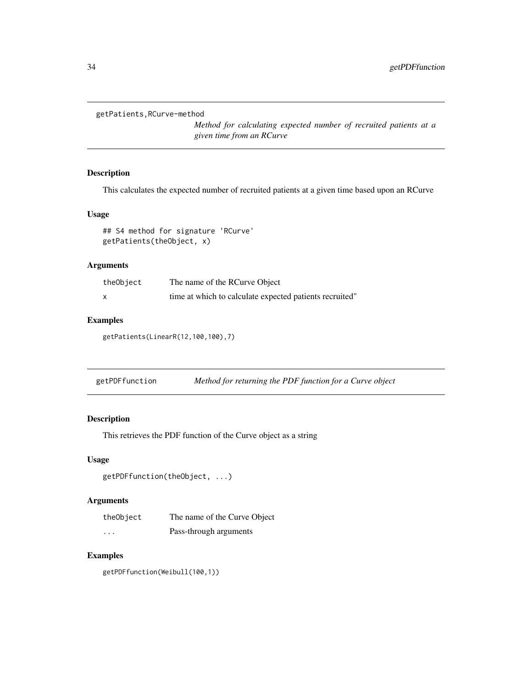```
getPatients,RCurve-method
```
*Method for calculating expected number of recruited patients at a given time from an RCurve*

### Description

This calculates the expected number of recruited patients at a given time based upon an RCurve

#### Usage

## S4 method for signature 'RCurve' getPatients(theObject, x)

#### Arguments

| theObject | The name of the RCurve Object                           |
|-----------|---------------------------------------------------------|
|           | time at which to calculate expected patients recruited" |

### Examples

getPatients(LinearR(12,100,100),7)

| getPDFfunction |  |  | Method for returning the PDF function for a Curve object |
|----------------|--|--|----------------------------------------------------------|
|                |  |  |                                                          |

### Description

This retrieves the PDF function of the Curve object as a string

#### Usage

```
getPDFfunction(theObject, ...)
```
### Arguments

| theObject | The name of the Curve Object |
|-----------|------------------------------|
| $\cdots$  | Pass-through arguments       |

### Examples

getPDFfunction(Weibull(100,1))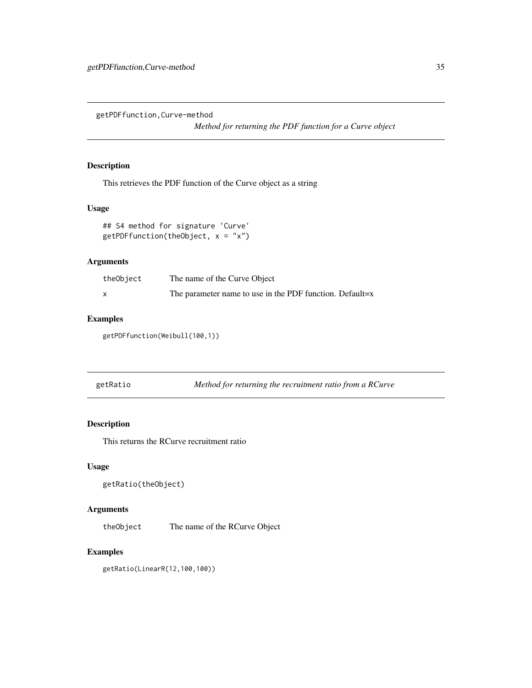<span id="page-34-0"></span>getPDFfunction,Curve-method

*Method for returning the PDF function for a Curve object*

### Description

This retrieves the PDF function of the Curve object as a string

### Usage

```
## S4 method for signature 'Curve'
getPDFfunction(theObject, x = "x")
```
### Arguments

| theObject | The name of the Curve Object                             |
|-----------|----------------------------------------------------------|
|           | The parameter name to use in the PDF function. Default=x |

### Examples

getPDFfunction(Weibull(100,1))

| getRatio |  | Method for returning the recruitment ratio from a RCurve |
|----------|--|----------------------------------------------------------|
|          |  |                                                          |

### Description

This returns the RCurve recruitment ratio

### Usage

```
getRatio(theObject)
```
### Arguments

theObject The name of the RCurve Object

### Examples

getRatio(LinearR(12,100,100))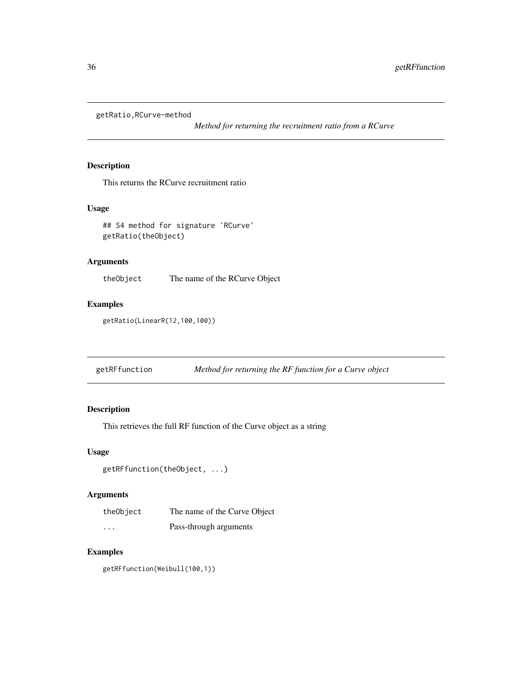<span id="page-35-0"></span>getRatio,RCurve-method

*Method for returning the recruitment ratio from a RCurve*

### Description

This returns the RCurve recruitment ratio

#### Usage

## S4 method for signature 'RCurve' getRatio(theObject)

### Arguments

theObject The name of the RCurve Object

### Examples

getRatio(LinearR(12,100,100))

getRFfunction *Method for returning the RF function for a Curve object*

### Description

This retrieves the full RF function of the Curve object as a string

#### Usage

```
getRFfunction(theObject, ...)
```
### Arguments

| theObject | The name of the Curve Object |
|-----------|------------------------------|
| $\cdots$  | Pass-through arguments       |

### Examples

getRFfunction(Weibull(100,1))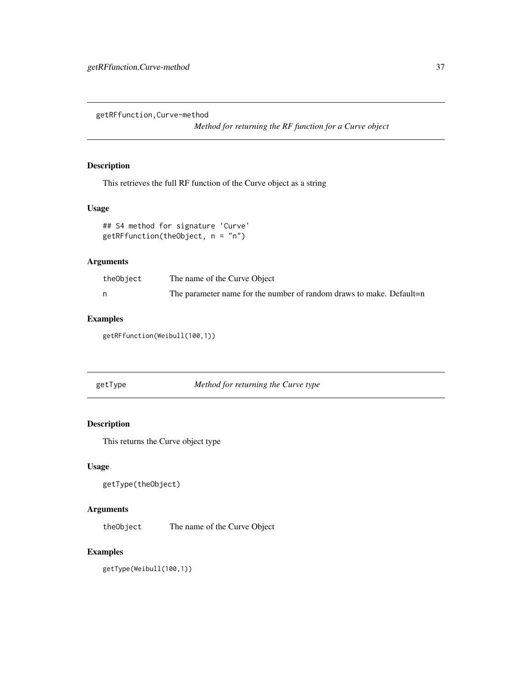getRFfunction,Curve-method

*Method for returning the RF function for a Curve object*

# Description

This retrieves the full RF function of the Curve object as a string

# Usage

```
## S4 method for signature 'Curve'
getRFfunction(theObject, n = "n")
```
### Arguments

| theObject | The name of the Curve Object                                        |
|-----------|---------------------------------------------------------------------|
|           | The parameter name for the number of random draws to make. Default- |

### Examples

getRFfunction(Weibull(100,1))

getType *Method for returning the Curve type*

### Description

This returns the Curve object type

# Usage

```
getType(theObject)
```
# Arguments

theObject The name of the Curve Object

# Examples

getType(Weibull(100,1))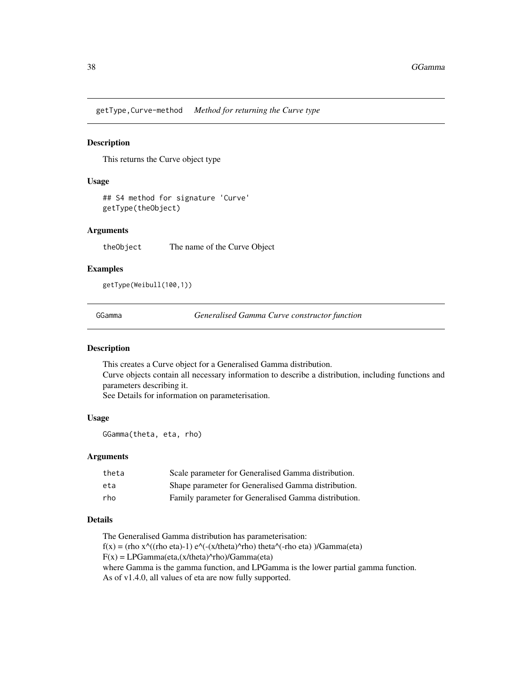getType,Curve-method *Method for returning the Curve type*

# Description

This returns the Curve object type

# Usage

## S4 method for signature 'Curve' getType(theObject)

# Arguments

theObject The name of the Curve Object

# Examples

getType(Weibull(100,1))

GGamma *Generalised Gamma Curve constructor function*

# Description

This creates a Curve object for a Generalised Gamma distribution. Curve objects contain all necessary information to describe a distribution, including functions and parameters describing it. See Details for information on parameterisation.

### Usage

GGamma(theta, eta, rho)

### Arguments

| theta | Scale parameter for Generalised Gamma distribution.  |
|-------|------------------------------------------------------|
| eta   | Shape parameter for Generalised Gamma distribution.  |
| rho   | Family parameter for Generalised Gamma distribution. |

# Details

The Generalised Gamma distribution has parameterisation:  $f(x) = (rho x^{\Lambda}((rho eta)-1) e^{\Lambda}(-x/theta^{\Lambda}rho) theta^{\Lambda}(-rho eta)) /Gamma(eta)$  $F(x) = LPGamma(eta, (x/theta)^rrho) /Gamma(eta)$ where Gamma is the gamma function, and LPGamma is the lower partial gamma function.

As of v1.4.0, all values of eta are now fully supported.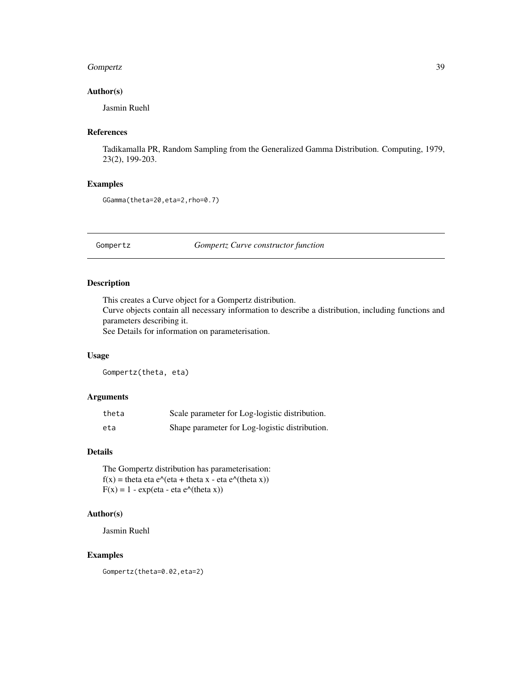### Gompertz 39

# Author(s)

Jasmin Ruehl

### References

Tadikamalla PR, Random Sampling from the Generalized Gamma Distribution. Computing, 1979, 23(2), 199-203.

# Examples

GGamma(theta=20,eta=2,rho=0.7)

Gompertz *Gompertz Curve constructor function*

# Description

This creates a Curve object for a Gompertz distribution. Curve objects contain all necessary information to describe a distribution, including functions and parameters describing it.

See Details for information on parameterisation.

### Usage

Gompertz(theta, eta)

# Arguments

| theta | Scale parameter for Log-logistic distribution. |
|-------|------------------------------------------------|
| eta   | Shape parameter for Log-logistic distribution. |

### Details

The Gompertz distribution has parameterisation:  $f(x) =$  theta eta e $\sqrt{\text{eta} + \text{theta}}$  x - eta e $\sqrt{\text{theta}}$  x))  $F(x) = 1 - \exp(\text{eta} - \text{eta} \cdot \text{z}^{\wedge})$ 

# Author(s)

Jasmin Ruehl

# Examples

Gompertz(theta=0.02,eta=2)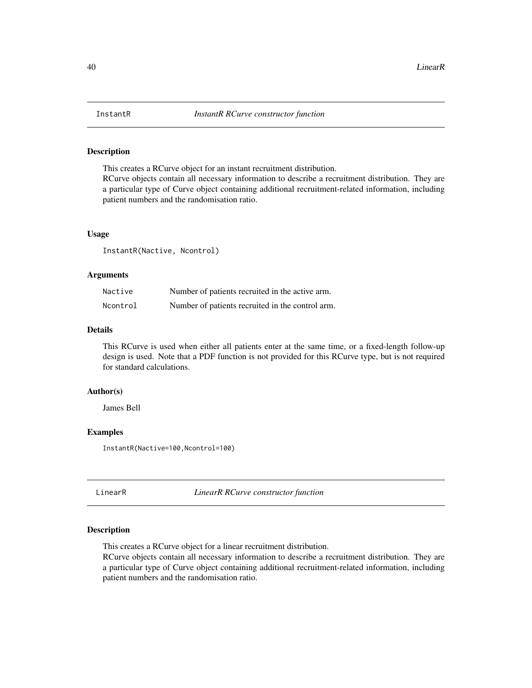This creates a RCurve object for an instant recruitment distribution. RCurve objects contain all necessary information to describe a recruitment distribution. They are a particular type of Curve object containing additional recruitment-related information, including patient numbers and the randomisation ratio.

### Usage

InstantR(Nactive, Ncontrol)

### **Arguments**

| Nactive  | Number of patients recruited in the active arm.  |
|----------|--------------------------------------------------|
| Ncontrol | Number of patients recruited in the control arm. |

# Details

This RCurve is used when either all patients enter at the same time, or a fixed-length follow-up design is used. Note that a PDF function is not provided for this RCurve type, but is not required for standard calculations.

## Author(s)

James Bell

### Examples

InstantR(Nactive=100,Ncontrol=100)

LinearR *LinearR RCurve constructor function*

# Description

This creates a RCurve object for a linear recruitment distribution.

RCurve objects contain all necessary information to describe a recruitment distribution. They are a particular type of Curve object containing additional recruitment-related information, including patient numbers and the randomisation ratio.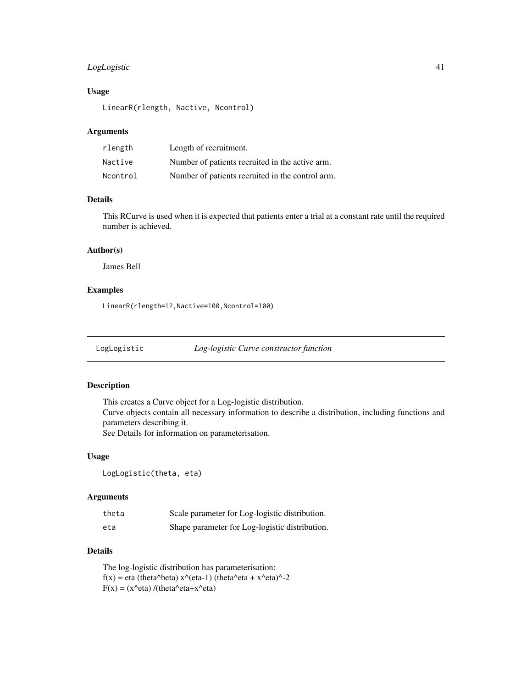# LogLogistic 41

# Usage

LinearR(rlength, Nactive, Ncontrol)

### Arguments

| rlength  | Length of recruitment.                           |
|----------|--------------------------------------------------|
| Nactive  | Number of patients recruited in the active arm.  |
| Ncontrol | Number of patients recruited in the control arm. |

# Details

This RCurve is used when it is expected that patients enter a trial at a constant rate until the required number is achieved.

### Author(s)

James Bell

### Examples

LinearR(rlength=12,Nactive=100,Ncontrol=100)

LogLogistic *Log-logistic Curve constructor function*

### Description

This creates a Curve object for a Log-logistic distribution. Curve objects contain all necessary information to describe a distribution, including functions and parameters describing it. See Details for information on parameterisation.

### Usage

LogLogistic(theta, eta)

# Arguments

| theta | Scale parameter for Log-logistic distribution. |
|-------|------------------------------------------------|
| eta   | Shape parameter for Log-logistic distribution. |

# Details

The log-logistic distribution has parameterisation:  $f(x) = eta (theta^{\text{A}}beta) x^{\text{A}} (eta-1) (theta^{\text{A}}eta + x^{\text{A}}eta)^{\text{A}} - 2$ F(x) = (x^eta) /(theta^eta+x^eta)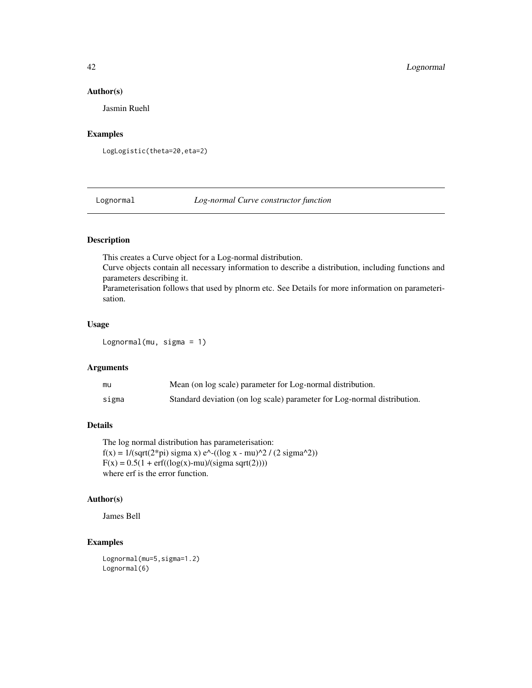### Author(s)

Jasmin Ruehl

# Examples

LogLogistic(theta=20,eta=2)

Lognormal *Log-normal Curve constructor function*

# Description

This creates a Curve object for a Log-normal distribution.

Curve objects contain all necessary information to describe a distribution, including functions and parameters describing it.

Parameterisation follows that used by plnorm etc. See Details for more information on parameterisation.

# Usage

Lognormal(mu, sigma = 1)

# Arguments

| mu    | Mean (on log scale) parameter for Log-normal distribution.               |
|-------|--------------------------------------------------------------------------|
| sigma | Standard deviation (on log scale) parameter for Log-normal distribution. |

# Details

The log normal distribution has parameterisation:  $f(x) = 1/(sqrt(2 * pi)$  sigma x)  $e^{\Lambda}$ - $((log x - mu)^{\Lambda}2 / (2 \sigma^2))$  $F(x) = 0.5(1 + erf((log(x)-mu)/(sigma sgrt(2))))$ where erf is the error function.

# Author(s)

James Bell

```
Lognormal(mu=5,sigma=1.2)
Lognormal(6)
```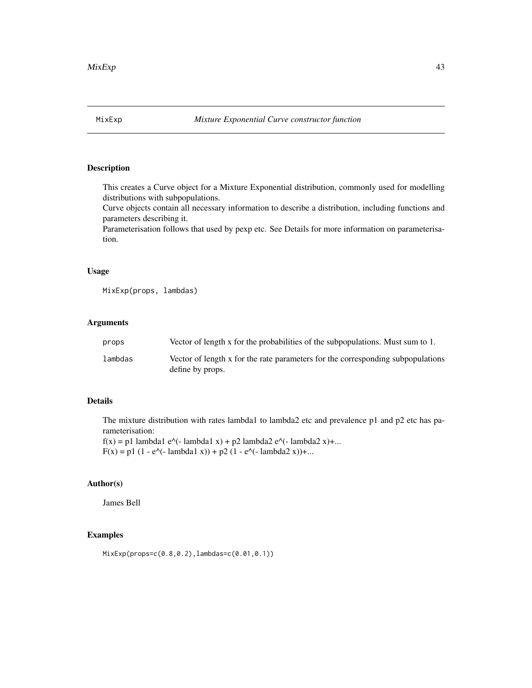This creates a Curve object for a Mixture Exponential distribution, commonly used for modelling distributions with subpopulations.

Curve objects contain all necessary information to describe a distribution, including functions and parameters describing it.

Parameterisation follows that used by pexp etc. See Details for more information on parameterisation.

# Usage

MixExp(props, lambdas)

# Arguments

| props   | Vector of length x for the probabilities of the subpopulations. Must sum to 1.                      |
|---------|-----------------------------------------------------------------------------------------------------|
| lambdas | Vector of length x for the rate parameters for the corresponding subpopulations<br>define by props. |

# Details

The mixture distribution with rates lambda1 to lambda2 etc and prevalence p1 and p2 etc has parameterisation:

 $f(x) = p1$  lambda1 e^(- lambda1 x) + p2 lambda2 e^(- lambda2 x)+...  $F(x) = p1 (1 - e<sup>(-</sup> lambda1 x)) + p2 (1 - e<sup>(-</sup> lambda2 x)) + ...$ 

# Author(s)

James Bell

# Examples

MixExp(props=c(0.8,0.2),lambdas=c(0.01,0.1))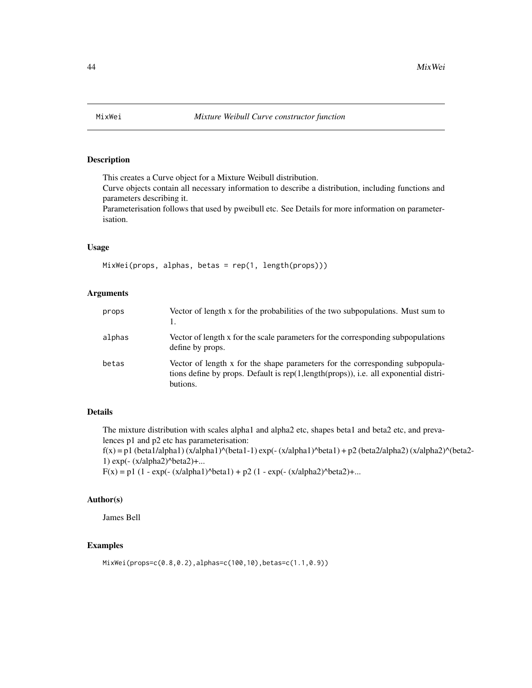This creates a Curve object for a Mixture Weibull distribution.

Curve objects contain all necessary information to describe a distribution, including functions and parameters describing it.

Parameterisation follows that used by pweibull etc. See Details for more information on parameterisation.

### Usage

MixWei(props, alphas, betas = rep(1, length(props)))

### **Arguments**

| props  | Vector of length x for the probabilities of the two subpopulations. Must sum to                                                                                                  |
|--------|----------------------------------------------------------------------------------------------------------------------------------------------------------------------------------|
| alphas | Vector of length x for the scale parameters for the corresponding subpopulations<br>define by props.                                                                             |
| betas  | Vector of length x for the shape parameters for the corresponding subpopula-<br>tions define by props. Default is rep(1,length(props)), i.e. all exponential distri-<br>butions. |

# Details

The mixture distribution with scales alpha1 and alpha2 etc, shapes beta1 and beta2 etc, and prevalences p1 and p2 etc has parameterisation:

 $f(x) = p1$  (beta1/alpha1) (x/alpha1)^(beta1-1) exp(- (x/alpha1)^beta1) + p2 (beta2/alpha2) (x/alpha2)^(beta2-1) exp(- (x/alpha2)^beta2)+...

 $F(x) = p1 (1 - exp(-(x/alpha1)^{\text{beta1}}) + p2 (1 - exp(-(x/alpha2)^{\text{beta2}}))$ ...

# Author(s)

James Bell

```
MixWei(props=c(0.8,0.2),alphas=c(100,10),betas=c(1.1,0.9))
```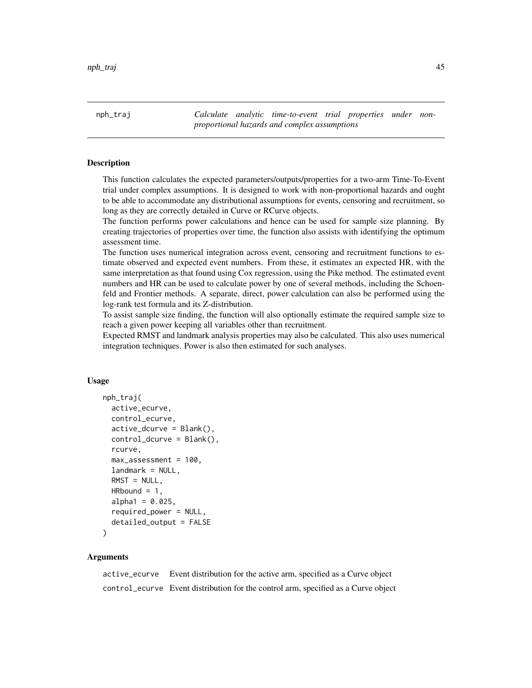nph\_traj *Calculate analytic time-to-event trial properties under nonproportional hazards and complex assumptions*

### Description

This function calculates the expected parameters/outputs/properties for a two-arm Time-To-Event trial under complex assumptions. It is designed to work with non-proportional hazards and ought to be able to accommodate any distributional assumptions for events, censoring and recruitment, so long as they are correctly detailed in Curve or RCurve objects.

The function performs power calculations and hence can be used for sample size planning. By creating trajectories of properties over time, the function also assists with identifying the optimum assessment time.

The function uses numerical integration across event, censoring and recruitment functions to estimate observed and expected event numbers. From these, it estimates an expected HR, with the same interpretation as that found using Cox regression, using the Pike method. The estimated event numbers and HR can be used to calculate power by one of several methods, including the Schoenfeld and Frontier methods. A separate, direct, power calculation can also be performed using the log-rank test formula and its Z-distribution.

To assist sample size finding, the function will also optionally estimate the required sample size to reach a given power keeping all variables other than recruitment.

Expected RMST and landmark analysis properties may also be calculated. This also uses numerical integration techniques. Power is also then estimated for such analyses.

### Usage

```
nph_traj(
  active_ecurve,
  control_ecurve,
  active_dcurve = Blank(),
  control_dcurve = Blank(),
  rcurve,
  max\_assesment = 100,
  landmark = NULL.
  RMST = NULL,HRbound = 1,
  alpha1 = 0.025,
  required_power = NULL,
  deta_output = FALSE)
```
### Arguments

active\_ecurve Event distribution for the active arm, specified as a Curve object control\_ecurve Event distribution for the control arm, specified as a Curve object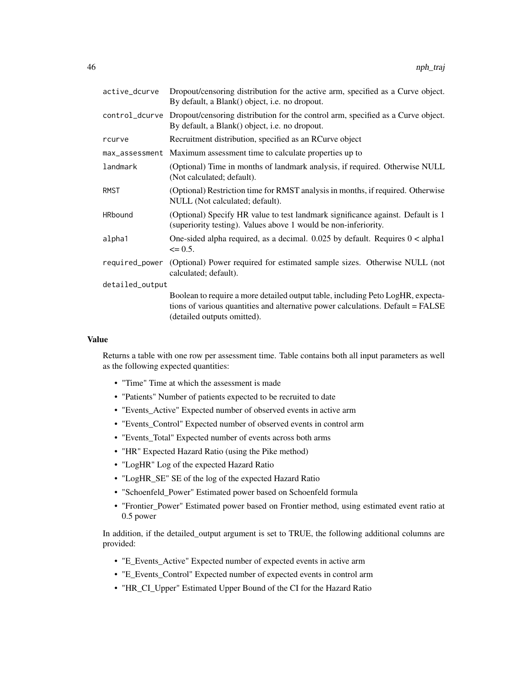| active_dcurve   | Dropout/censoring distribution for the active arm, specified as a Curve object.<br>By default, a Blank() object, i.e. no dropout.                                                                 |  |
|-----------------|---------------------------------------------------------------------------------------------------------------------------------------------------------------------------------------------------|--|
| control_dcurve  | Dropout/censoring distribution for the control arm, specified as a Curve object.<br>By default, a Blank() object, i.e. no dropout.                                                                |  |
| rcurve          | Recruitment distribution, specified as an RCurve object                                                                                                                                           |  |
| max_assessment  | Maximum assessment time to calculate properties up to                                                                                                                                             |  |
| landmark        | (Optional) Time in months of landmark analysis, if required. Otherwise NULL<br>(Not calculated; default).                                                                                         |  |
| <b>RMST</b>     | (Optional) Restriction time for RMST analysis in months, if required. Otherwise<br>NULL (Not calculated; default).                                                                                |  |
| <b>HRbound</b>  | (Optional) Specify HR value to test landmark significance against. Default is 1<br>(superiority testing). Values above 1 would be non-inferiority.                                                |  |
| alpha1          | One-sided alpha required, as a decimal. $0.025$ by default. Requires $0 <$ alphal<br>$\leq$ 0.5.                                                                                                  |  |
| required_power  | (Optional) Power required for estimated sample sizes. Otherwise NULL (not<br>calculated; default).                                                                                                |  |
| detailed_output |                                                                                                                                                                                                   |  |
|                 | Boolean to require a more detailed output table, including Peto LogHR, expecta-<br>tions of various quantities and alternative power calculations. Default = FALSE<br>(detailed outputs omitted). |  |

### Value

Returns a table with one row per assessment time. Table contains both all input parameters as well as the following expected quantities:

- "Time" Time at which the assessment is made
- "Patients" Number of patients expected to be recruited to date
- "Events\_Active" Expected number of observed events in active arm
- "Events\_Control" Expected number of observed events in control arm
- "Events\_Total" Expected number of events across both arms
- "HR" Expected Hazard Ratio (using the Pike method)
- "LogHR" Log of the expected Hazard Ratio
- "LogHR\_SE" SE of the log of the expected Hazard Ratio
- "Schoenfeld\_Power" Estimated power based on Schoenfeld formula
- "Frontier\_Power" Estimated power based on Frontier method, using estimated event ratio at 0.5 power

In addition, if the detailed\_output argument is set to TRUE, the following additional columns are provided:

- "E\_Events\_Active" Expected number of expected events in active arm
- "E\_Events\_Control" Expected number of expected events in control arm
- "HR\_CI\_Upper" Estimated Upper Bound of the CI for the Hazard Ratio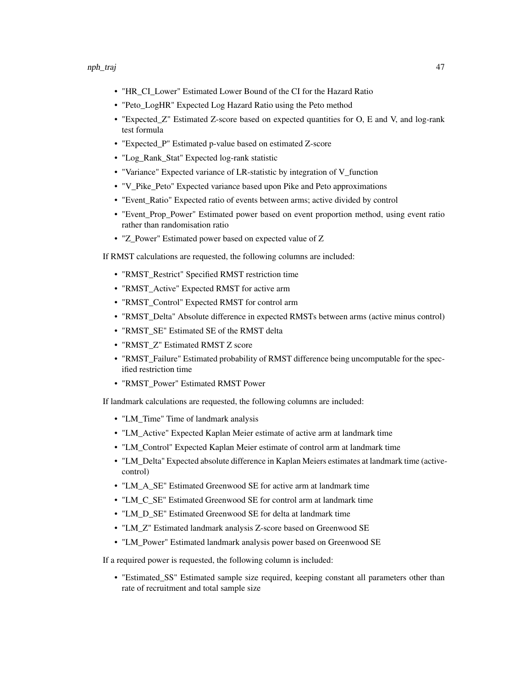- "HR\_CI\_Lower" Estimated Lower Bound of the CI for the Hazard Ratio
- "Peto\_LogHR" Expected Log Hazard Ratio using the Peto method
- "Expected\_Z" Estimated Z-score based on expected quantities for O, E and V, and log-rank test formula
- "Expected\_P" Estimated p-value based on estimated Z-score
- "Log\_Rank\_Stat" Expected log-rank statistic
- "Variance" Expected variance of LR-statistic by integration of V\_function
- "V\_Pike\_Peto" Expected variance based upon Pike and Peto approximations
- "Event\_Ratio" Expected ratio of events between arms; active divided by control
- "Event\_Prop\_Power" Estimated power based on event proportion method, using event ratio rather than randomisation ratio
- "Z\_Power" Estimated power based on expected value of Z

If RMST calculations are requested, the following columns are included:

- "RMST\_Restrict" Specified RMST restriction time
- "RMST\_Active" Expected RMST for active arm
- "RMST\_Control" Expected RMST for control arm
- "RMST\_Delta" Absolute difference in expected RMSTs between arms (active minus control)
- "RMST\_SE" Estimated SE of the RMST delta
- "RMST\_Z" Estimated RMST Z score
- "RMST\_Failure" Estimated probability of RMST difference being uncomputable for the specified restriction time
- "RMST\_Power" Estimated RMST Power

If landmark calculations are requested, the following columns are included:

- "LM\_Time" Time of landmark analysis
- "LM\_Active" Expected Kaplan Meier estimate of active arm at landmark time
- "LM\_Control" Expected Kaplan Meier estimate of control arm at landmark time
- "LM\_Delta" Expected absolute difference in Kaplan Meiers estimates at landmark time (activecontrol)
- "LM\_A\_SE" Estimated Greenwood SE for active arm at landmark time
- "LM\_C\_SE" Estimated Greenwood SE for control arm at landmark time
- "LM\_D\_SE" Estimated Greenwood SE for delta at landmark time
- "LM\_Z" Estimated landmark analysis Z-score based on Greenwood SE
- "LM\_Power" Estimated landmark analysis power based on Greenwood SE

If a required power is requested, the following column is included:

• "Estimated\_SS" Estimated sample size required, keeping constant all parameters other than rate of recruitment and total sample size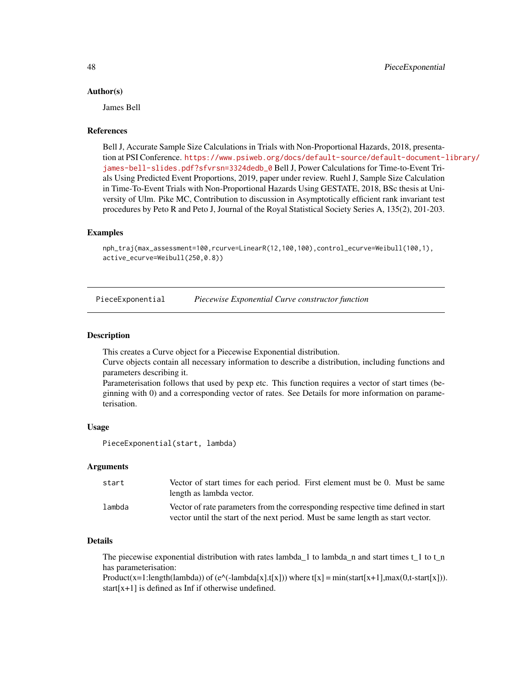### Author(s)

James Bell

### References

Bell J, Accurate Sample Size Calculations in Trials with Non-Proportional Hazards, 2018, presentation at PSI Conference. [https://www.psiweb.org/docs/default-source/default-document-l](https://www.psiweb.org/docs/default-source/default-document-library/james-bell-slides.pdf?sfvrsn=3324dedb_0)ibrary/ [james-bell-slides.pdf?sfvrsn=3324dedb\\_0](https://www.psiweb.org/docs/default-source/default-document-library/james-bell-slides.pdf?sfvrsn=3324dedb_0) Bell J, Power Calculations for Time-to-Event Trials Using Predicted Event Proportions, 2019, paper under review. Ruehl J, Sample Size Calculation in Time-To-Event Trials with Non-Proportional Hazards Using GESTATE, 2018, BSc thesis at University of Ulm. Pike MC, Contribution to discussion in Asymptotically efficient rank invariant test procedures by Peto R and Peto J, Journal of the Royal Statistical Society Series A, 135(2), 201-203.

### Examples

```
nph_traj(max_assessment=100,rcurve=LinearR(12,100,100),control_ecurve=Weibull(100,1),
active_ecurve=Weibull(250,0.8))
```
PieceExponential *Piecewise Exponential Curve constructor function*

### **Description**

This creates a Curve object for a Piecewise Exponential distribution.

Curve objects contain all necessary information to describe a distribution, including functions and parameters describing it.

Parameterisation follows that used by pexp etc. This function requires a vector of start times (beginning with 0) and a corresponding vector of rates. See Details for more information on parameterisation.

### Usage

PieceExponential(start, lambda)

### **Arguments**

| start  | Vector of start times for each period. First element must be 0. Must be same<br>length as lambda vector.                                                             |
|--------|----------------------------------------------------------------------------------------------------------------------------------------------------------------------|
| lambda | Vector of rate parameters from the corresponding respective time defined in start<br>vector until the start of the next period. Must be same length as start vector. |

### Details

The piecewise exponential distribution with rates lambda\_1 to lambda\_n and start times  $t_1$  to  $t_n$ has parameterisation:

Product(x=1:length(lambda)) of (e^(-lambda[x].t[x])) where t[x] = min(start[x+1],max(0,t-start[x])). start[x+1] is defined as Inf if otherwise undefined.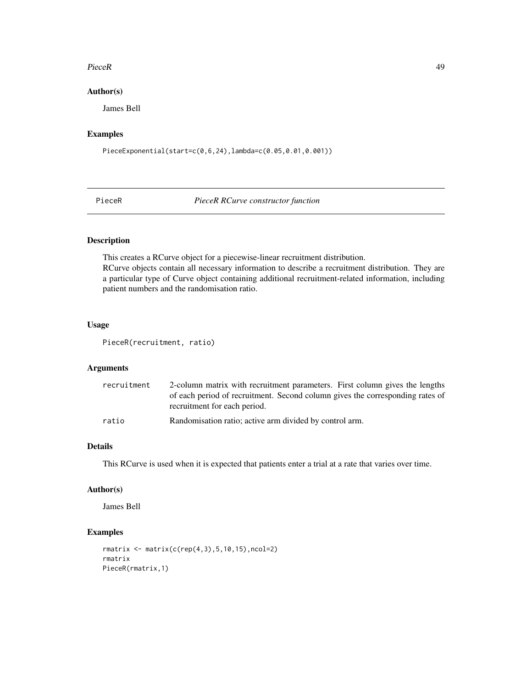### PieceR 29 and 200 and 200 and 200 and 200 and 200 and 200 and 200 and 200 and 200 and 200 and 200 and 200 and 200 and 200 and 200 and 200 and 200 and 200 and 200 and 200 and 200 and 200 and 200 and 200 and 200 and 200 and

# Author(s)

James Bell

# Examples

PieceExponential(start=c(0,6,24),lambda=c(0.05,0.01,0.001))

PieceR *PieceR RCurve constructor function*

# Description

This creates a RCurve object for a piecewise-linear recruitment distribution. RCurve objects contain all necessary information to describe a recruitment distribution. They are a particular type of Curve object containing additional recruitment-related information, including patient numbers and the randomisation ratio.

# Usage

PieceR(recruitment, ratio)

# Arguments

| recruitment | 2-column matrix with recruitment parameters. First column gives the lengths   |
|-------------|-------------------------------------------------------------------------------|
|             | of each period of recruitment. Second column gives the corresponding rates of |
|             | recruitment for each period.                                                  |
| ratio       | Randomisation ratio; active arm divided by control arm.                       |

# Details

This RCurve is used when it is expected that patients enter a trial at a rate that varies over time.

### Author(s)

James Bell

```
rmatrix <- matrix(c(rep(4,3),5,10,15),ncol=2)
rmatrix
PieceR(rmatrix,1)
```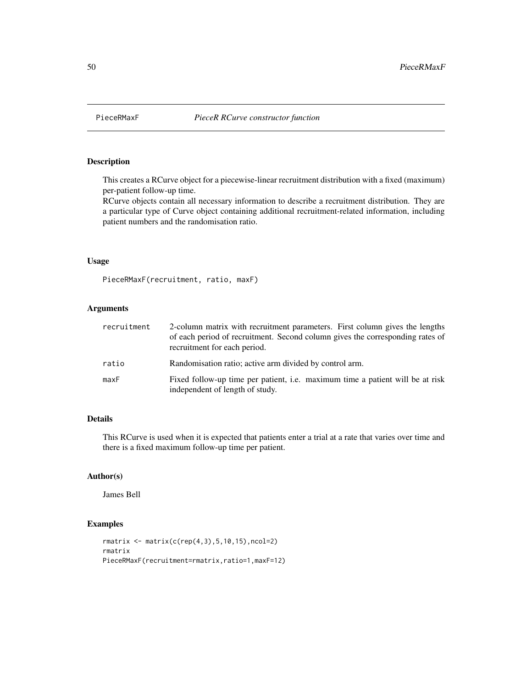This creates a RCurve object for a piecewise-linear recruitment distribution with a fixed (maximum) per-patient follow-up time.

RCurve objects contain all necessary information to describe a recruitment distribution. They are a particular type of Curve object containing additional recruitment-related information, including patient numbers and the randomisation ratio.

### Usage

PieceRMaxF(recruitment, ratio, maxF)

### Arguments

| recruitment | 2-column matrix with recruitment parameters. First column gives the lengths<br>of each period of recruitment. Second column gives the corresponding rates of<br>recruitment for each period. |
|-------------|----------------------------------------------------------------------------------------------------------------------------------------------------------------------------------------------|
| ratio       | Randomisation ratio; active arm divided by control arm.                                                                                                                                      |
| maxF        | Fixed follow-up time per patient, i.e. maximum time a patient will be at risk<br>independent of length of study.                                                                             |

# Details

This RCurve is used when it is expected that patients enter a trial at a rate that varies over time and there is a fixed maximum follow-up time per patient.

### Author(s)

James Bell

```
rmatrix <- matrix(c(rep(4,3),5,10,15),ncol=2)
rmatrix
PieceRMaxF(recruitment=rmatrix,ratio=1,maxF=12)
```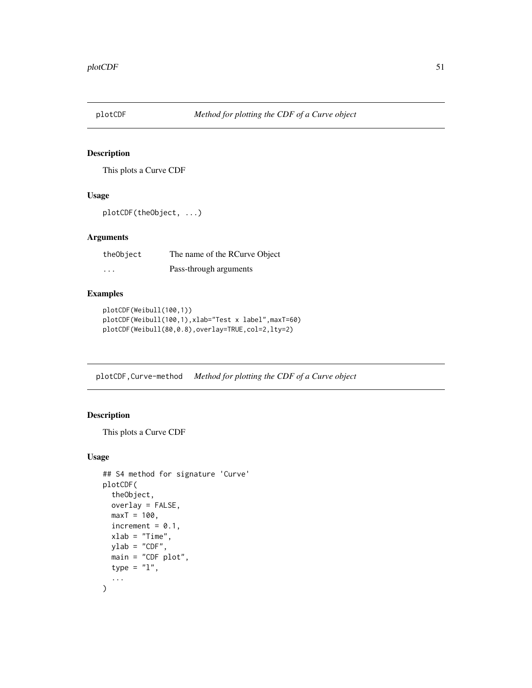This plots a Curve CDF

# Usage

```
plotCDF(theObject, ...)
```
### Arguments

| theObject | The name of the RCurve Object |
|-----------|-------------------------------|
| $\cdots$  | Pass-through arguments        |

# Examples

```
plotCDF(Weibull(100,1))
plotCDF(Weibull(100,1),xlab="Test x label",maxT=60)
plotCDF(Weibull(80,0.8),overlay=TRUE,col=2,lty=2)
```
plotCDF,Curve-method *Method for plotting the CDF of a Curve object*

# Description

This plots a Curve CDF

# Usage

```
## S4 method for signature 'Curve'
plotCDF(
  theObject,
 overlay = FALSE,
 maxT = 100,
  increment = 0.1,
  xlab = "Time",ylab = "CDF",main = "CDF plot",
  type = "1",...
\mathcal{L}
```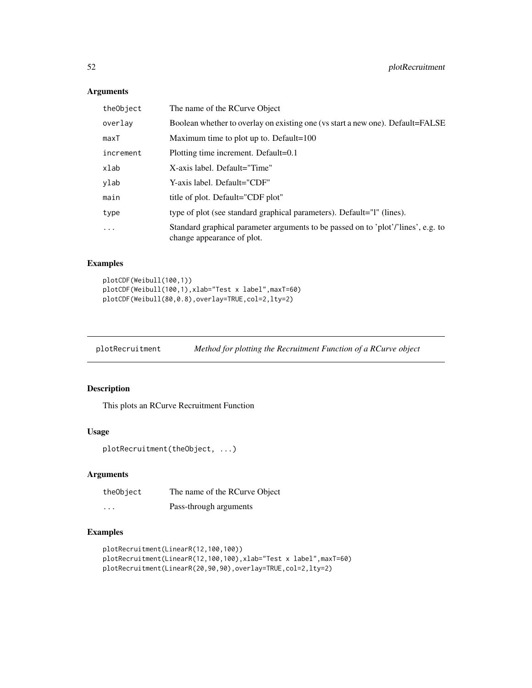# Arguments

| theObject | The name of the RCurve Object                                                                                   |
|-----------|-----------------------------------------------------------------------------------------------------------------|
| overlay   | Boolean whether to overlay on existing one (vs start a new one). Default=FALSE                                  |
| maxT      | Maximum time to plot up to. Default= $100$                                                                      |
| increment | Plotting time increment. Default=0.1                                                                            |
| xlab      | X-axis label. Default="Time"                                                                                    |
| ylab      | Y-axis label. Default="CDF"                                                                                     |
| main      | title of plot. Default="CDF plot"                                                                               |
| type      | type of plot (see standard graphical parameters). Default="1" (lines).                                          |
| $\ddots$  | Standard graphical parameter arguments to be passed on to 'plot'/'lines', e.g. to<br>change appearance of plot. |

# Examples

```
plotCDF(Weibull(100,1))
plotCDF(Weibull(100,1),xlab="Test x label",maxT=60)
plotCDF(Weibull(80,0.8),overlay=TRUE,col=2,lty=2)
```
plotRecruitment *Method for plotting the Recruitment Function of a RCurve object*

### Description

This plots an RCurve Recruitment Function

### Usage

```
plotRecruitment(theObject, ...)
```
### Arguments

| theObject | The name of the RCurve Object |
|-----------|-------------------------------|
| $\cdots$  | Pass-through arguments        |

```
plotRecruitment(LinearR(12,100,100))
plotRecruitment(LinearR(12,100,100),xlab="Test x label",maxT=60)
plotRecruitment(LinearR(20,90,90),overlay=TRUE,col=2,lty=2)
```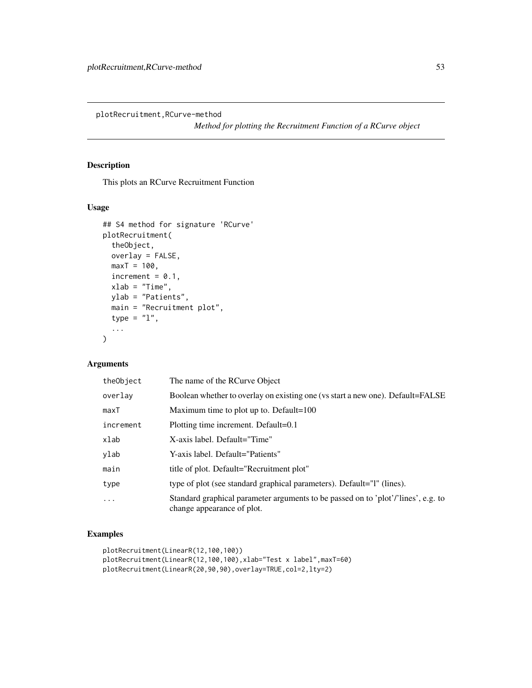plotRecruitment,RCurve-method

*Method for plotting the Recruitment Function of a RCurve object*

# Description

This plots an RCurve Recruitment Function

# Usage

```
## S4 method for signature 'RCurve'
plotRecruitment(
  theObject,
 overlay = FALSE,
 maxT = 100,
  increment = 0.1,
 xlab = "Time",ylab = "Patients",
 main = "Recruitment plot",
  type = "1",...
)
```
# Arguments

| theObject | The name of the RCurve Object                                                                                   |
|-----------|-----------------------------------------------------------------------------------------------------------------|
| overlay   | Boolean whether to overlay on existing one (vs start a new one). Default=FALSE                                  |
| maxT      | Maximum time to plot up to. Default= $100$                                                                      |
| increment | Plotting time increment. Default=0.1                                                                            |
| xlab      | X-axis label. Default="Time"                                                                                    |
| ylab      | Y-axis label. Default="Patients"                                                                                |
| main      | title of plot. Default="Recruitment plot"                                                                       |
| type      | type of plot (see standard graphical parameters). Default="1" (lines).                                          |
| $\cdots$  | Standard graphical parameter arguments to be passed on to 'plot'/'lines', e.g. to<br>change appearance of plot. |

```
plotRecruitment(LinearR(12,100,100))
plotRecruitment(LinearR(12,100,100),xlab="Test x label",maxT=60)
plotRecruitment(LinearR(20,90,90),overlay=TRUE,col=2,lty=2)
```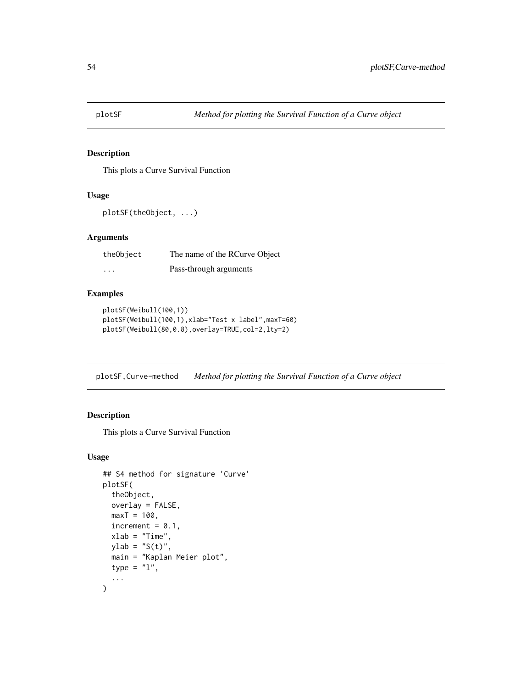This plots a Curve Survival Function

# Usage

```
plotSF(theObject, ...)
```
### Arguments

| theObject | The name of the RCurve Object |
|-----------|-------------------------------|
| $\cdots$  | Pass-through arguments        |

# Examples

```
plotSF(Weibull(100,1))
plotSF(Weibull(100,1),xlab="Test x label",maxT=60)
plotSF(Weibull(80,0.8),overlay=TRUE,col=2,lty=2)
```
plotSF,Curve-method *Method for plotting the Survival Function of a Curve object*

# Description

This plots a Curve Survival Function

### Usage

```
## S4 method for signature 'Curve'
plotSF(
  theObject,
 overlay = FALSE,
 maxT = 100,
  increment = 0.1,
  xlab = "Time",ylab = "S(t)",
 main = "Kaplan Meier plot",
  type = "1",...
\mathcal{L}
```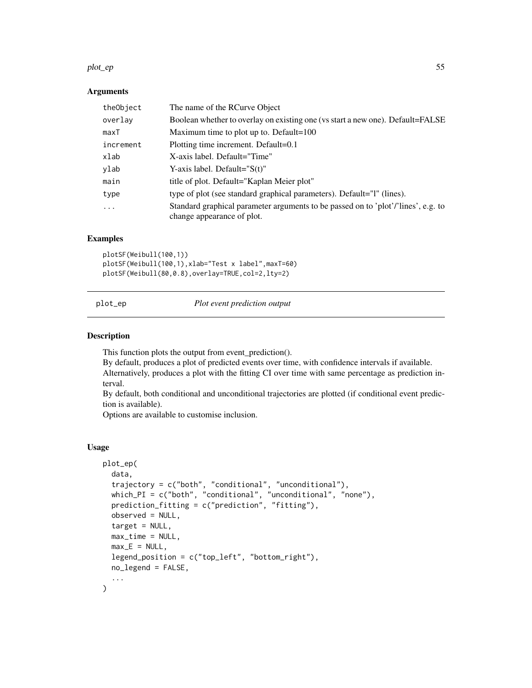### plot\_ep 55

### **Arguments**

| theObject | The name of the RCurve Object                                                                                   |
|-----------|-----------------------------------------------------------------------------------------------------------------|
| overlay   | Boolean whether to overlay on existing one (vs start a new one). Default=FALSE                                  |
| maxT      | Maximum time to plot up to. Default= $100$                                                                      |
| increment | Plotting time increment. Default=0.1                                                                            |
| xlab      | X-axis label. Default="Time"                                                                                    |
| ylab      | Y-axis label. Default=" $S(t)$ "                                                                                |
| main      | title of plot. Default="Kaplan Meier plot"                                                                      |
| type      | type of plot (see standard graphical parameters). Default="1" (lines).                                          |
| .         | Standard graphical parameter arguments to be passed on to 'plot'/'lines', e.g. to<br>change appearance of plot. |

# Examples

plotSF(Weibull(100,1)) plotSF(Weibull(100,1),xlab="Test x label",maxT=60) plotSF(Weibull(80,0.8),overlay=TRUE,col=2,lty=2)

plot\_ep *Plot event prediction output*

### Description

This function plots the output from event\_prediction().

By default, produces a plot of predicted events over time, with confidence intervals if available. Alternatively, produces a plot with the fitting CI over time with same percentage as prediction interval.

By default, both conditional and unconditional trajectories are plotted (if conditional event prediction is available).

Options are available to customise inclusion.

### Usage

```
plot_ep(
  data,
  trajectory = c("both", "conditional", "unconditional"),
 which_PI = c("both", "conditional", "unconditional", "none"),
  prediction_fitting = c("prediction", "fitting"),
  observed = NULL,
  target = NULL,
  max_time = NULL,max<sub>E</sub> = NULL,
  legend_position = c("top_left", "bottom_right"),
  no_legend = FALSE,
  ...
)
```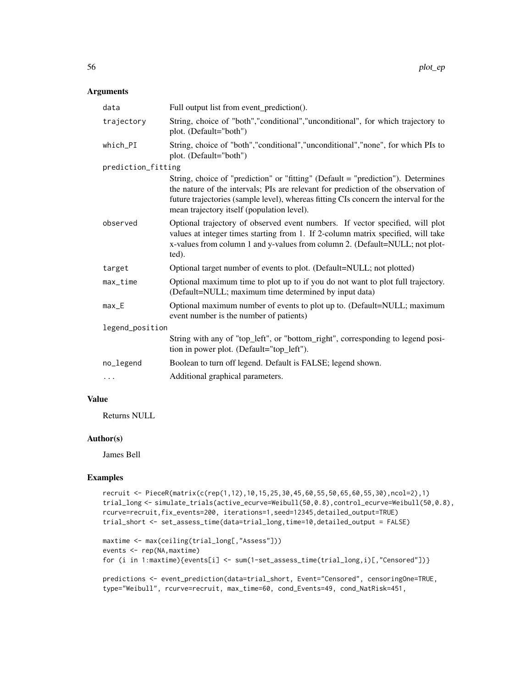### Arguments

| data                             | Full output list from event_prediction().                                                                                                                                                                                                                                                                    |  |
|----------------------------------|--------------------------------------------------------------------------------------------------------------------------------------------------------------------------------------------------------------------------------------------------------------------------------------------------------------|--|
| trajectory                       | String, choice of "both", "conditional", "unconditional", for which trajectory to<br>plot. (Default="both")                                                                                                                                                                                                  |  |
| which_PI                         | String, choice of "both","conditional","unconditional","none", for which PIs to<br>plot. (Default="both")                                                                                                                                                                                                    |  |
| prediction_fitting               |                                                                                                                                                                                                                                                                                                              |  |
|                                  | String, choice of "prediction" or "fitting" (Default = "prediction"). Determines<br>the nature of the intervals; PIs are relevant for prediction of the observation of<br>future trajectories (sample level), whereas fitting CIs concern the interval for the<br>mean trajectory itself (population level). |  |
| observed                         | Optional trajectory of observed event numbers. If vector specified, will plot<br>values at integer times starting from 1. If 2-column matrix specified, will take<br>x-values from column 1 and y-values from column 2. (Default=NULL; not plot-<br>ted).                                                    |  |
| target                           | Optional target number of events to plot. (Default=NULL; not plotted)                                                                                                                                                                                                                                        |  |
| max_time                         | Optional maximum time to plot up to if you do not want to plot full trajectory.<br>(Default=NULL; maximum time determined by input data)                                                                                                                                                                     |  |
| $max$ <sub><math>-E</math></sub> | Optional maximum number of events to plot up to. (Default=NULL; maximum<br>event number is the number of patients)                                                                                                                                                                                           |  |
| legend_position                  |                                                                                                                                                                                                                                                                                                              |  |
|                                  | String with any of "top_left", or "bottom_right", corresponding to legend posi-<br>tion in power plot. (Default="top_left").                                                                                                                                                                                 |  |
| no_legend                        | Boolean to turn off legend. Default is FALSE; legend shown.                                                                                                                                                                                                                                                  |  |
| $\cdots$                         | Additional graphical parameters.                                                                                                                                                                                                                                                                             |  |

### Value

Returns NULL

### Author(s)

James Bell

```
recruit <- PieceR(matrix(c(rep(1,12),10,15,25,30,45,60,55,50,65,60,55,30),ncol=2),1)
trial_long <- simulate_trials(active_ecurve=Weibull(50,0.8),control_ecurve=Weibull(50,0.8),
rcurve=recruit,fix_events=200, iterations=1,seed=12345,detailed_output=TRUE)
trial_short <- set_assess_time(data=trial_long,time=10,detailed_output = FALSE)
```

```
maxtime <- max(ceiling(trial_long[,"Assess"]))
events <- rep(NA,maxtime)
for (i in 1:maxtime){events[i] <- sum(1-set_assess_time(trial_long,i)[,"Censored"])}
```

```
predictions <- event_prediction(data=trial_short, Event="Censored", censoringOne=TRUE,
type="Weibull", rcurve=recruit, max_time=60, cond_Events=49, cond_NatRisk=451,
```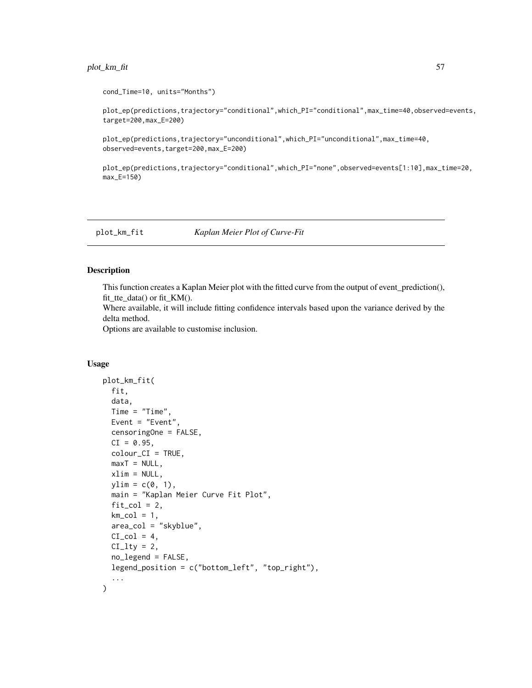# plot\_km\_fit 57

```
cond_Time=10, units="Months")
```
plot\_ep(predictions,trajectory="conditional",which\_PI="conditional",max\_time=40,observed=events, target=200,max\_E=200)

```
plot_ep(predictions,trajectory="unconditional",which_PI="unconditional",max_time=40,
observed=events,target=200,max_E=200)
```

```
plot_ep(predictions,trajectory="conditional",which_PI="none",observed=events[1:10],max_time=20,
max_E=150)
```
plot\_km\_fit *Kaplan Meier Plot of Curve-Fit*

### Description

This function creates a Kaplan Meier plot with the fitted curve from the output of event\_prediction(), fit tte data() or fit  $KM($ ).

Where available, it will include fitting confidence intervals based upon the variance derived by the delta method.

Options are available to customise inclusion.

### Usage

```
plot_km_fit(
  fit,
  data,
  Time = "Time",
 Event = "Event",
  censoringOne = FALSE,
 CI = 0.95,colour_CI = TRUE,
 maxT = NULL,xlim = NULL,ylim = c(0, 1),main = "Kaplan Meier Curve Fit Plot",
 fit\_col = 2,
  km_{col} = 1,
  area_col = "skyblue",
 CI_{col} = 4,
 CI\_lty = 2,
  no_legend = FALSE,
 legend_position = c("bottom_left", "top_right"),
  ...
)
```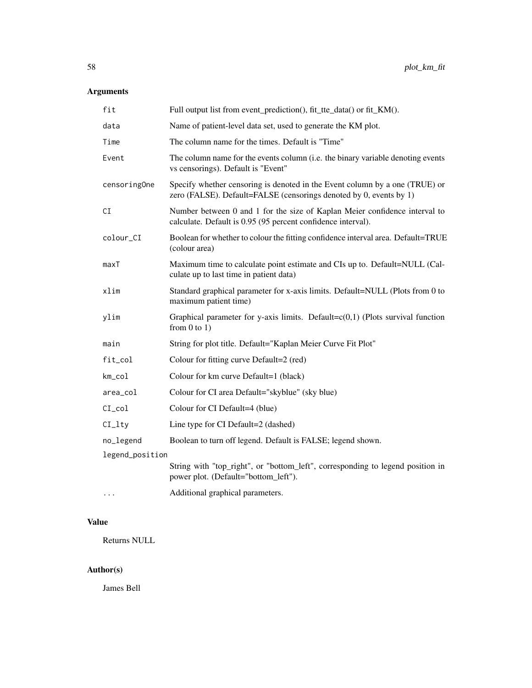# Arguments

| fit             | Full output list from event_prediction(), fit_tte_data() or fit_KM().                                                                             |
|-----------------|---------------------------------------------------------------------------------------------------------------------------------------------------|
| data            | Name of patient-level data set, used to generate the KM plot.                                                                                     |
| Time            | The column name for the times. Default is "Time"                                                                                                  |
| Event           | The column name for the events column (i.e. the binary variable denoting events<br>vs censorings). Default is "Event"                             |
| censoringOne    | Specify whether censoring is denoted in the Event column by a one (TRUE) or<br>zero (FALSE). Default=FALSE (censorings denoted by 0, events by 1) |
| CI              | Number between 0 and 1 for the size of Kaplan Meier confidence interval to<br>calculate. Default is 0.95 (95 percent confidence interval).        |
| colour_CI       | Boolean for whether to colour the fitting confidence interval area. Default=TRUE<br>(colour area)                                                 |
| maxT            | Maximum time to calculate point estimate and CIs up to. Default=NULL (Cal-<br>culate up to last time in patient data)                             |
| xlim            | Standard graphical parameter for x-axis limits. Default=NULL (Plots from 0 to<br>maximum patient time)                                            |
| ylim            | Graphical parameter for y-axis limits. Default= $c(0,1)$ (Plots survival function<br>from $0$ to $1$ )                                            |
| main            | String for plot title. Default="Kaplan Meier Curve Fit Plot"                                                                                      |
| fit_col         | Colour for fitting curve Default=2 (red)                                                                                                          |
| km_col          | Colour for km curve Default=1 (black)                                                                                                             |
| area_col        | Colour for CI area Default="skyblue" (sky blue)                                                                                                   |
| $CI_{col}$      | Colour for CI Default=4 (blue)                                                                                                                    |
| $CI$ _ $Ity$    | Line type for CI Default=2 (dashed)                                                                                                               |
| no_legend       | Boolean to turn off legend. Default is FALSE; legend shown.                                                                                       |
| legend_position |                                                                                                                                                   |
|                 | String with "top_right", or "bottom_left", corresponding to legend position in<br>power plot. (Default="bottom_left").                            |
| $\cdots$        | Additional graphical parameters.                                                                                                                  |

# Value

Returns NULL

# Author(s)

James Bell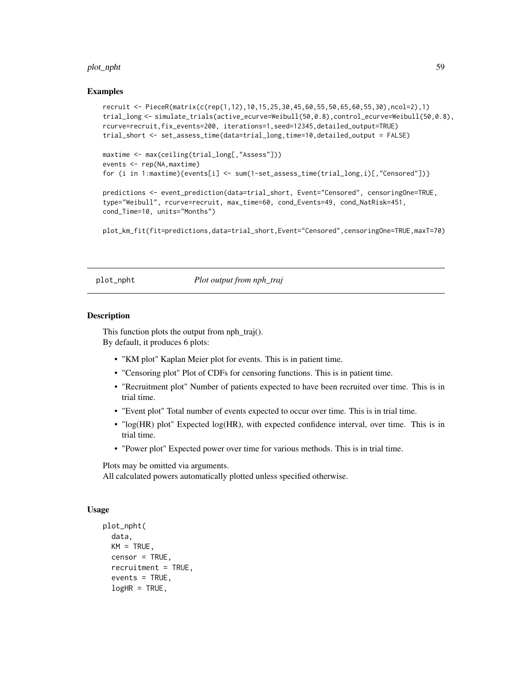### plot\_npht 59

### Examples

```
recruit <- PieceR(matrix(c(rep(1,12),10,15,25,30,45,60,55,50,65,60,55,30),ncol=2),1)
trial_long <- simulate_trials(active_ecurve=Weibull(50,0.8),control_ecurve=Weibull(50,0.8),
rcurve=recruit,fix_events=200, iterations=1,seed=12345,detailed_output=TRUE)
trial_short <- set_assess_time(data=trial_long,time=10,detailed_output = FALSE)
maxtime <- max(ceiling(trial_long[,"Assess"]))
events <- rep(NA,maxtime)
for (i in 1:maxtime){events[i] <- sum(1-set_assess_time(trial_long,i)[,"Censored"])}
predictions <- event_prediction(data=trial_short, Event="Censored", censoringOne=TRUE,
type="Weibull", rcurve=recruit, max_time=60, cond_Events=49, cond_NatRisk=451,
cond_Time=10, units="Months")
```
plot\_km\_fit(fit=predictions,data=trial\_short,Event="Censored",censoringOne=TRUE,maxT=70)

plot\_npht *Plot output from nph\_traj*

### **Description**

This function plots the output from nph  $traj(.)$ . By default, it produces 6 plots:

- "KM plot" Kaplan Meier plot for events. This is in patient time.
- "Censoring plot" Plot of CDFs for censoring functions. This is in patient time.
- "Recruitment plot" Number of patients expected to have been recruited over time. This is in trial time.
- "Event plot" Total number of events expected to occur over time. This is in trial time.
- "log(HR) plot" Expected log(HR), with expected confidence interval, over time. This is in trial time.
- "Power plot" Expected power over time for various methods. This is in trial time.

Plots may be omitted via arguments.

All calculated powers automatically plotted unless specified otherwise.

### Usage

```
plot_npht(
  data,
 KM = TRUE,
  censor = TRUE,
  recruitment = TRUE,
  events = TRUE,logHR = TRUE,
```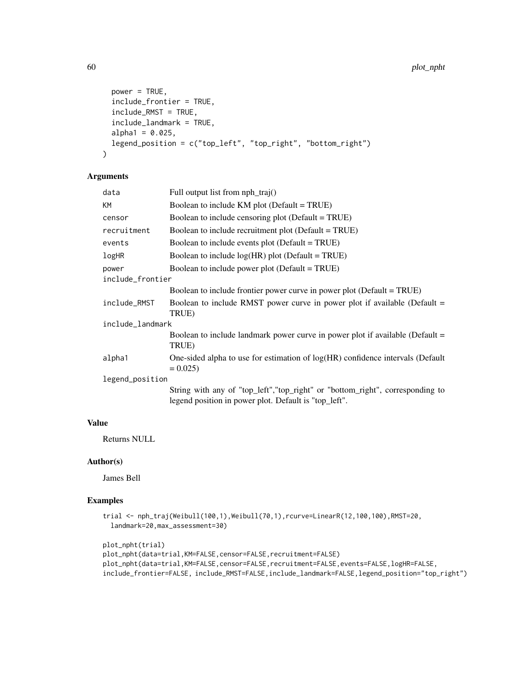```
power = TRUE,
  include_frontier = TRUE,
  include_RMST = TRUE,
  include_landmark = TRUE,
  alpha1 = 0.025,
 legend_position = c("top_left", "top_right", "bottom_right")
)
```
# Arguments

| data             | Full output list from $nph\_traj()$                                                                                                     |  |
|------------------|-----------------------------------------------------------------------------------------------------------------------------------------|--|
| КM               | Boolean to include KM plot (Default = TRUE)                                                                                             |  |
| censor           | Boolean to include censoring plot (Default = TRUE)                                                                                      |  |
| recruitment      | Boolean to include recruitment plot (Default = TRUE)                                                                                    |  |
| events           | Boolean to include events plot (Default = TRUE)                                                                                         |  |
| logHR            | Boolean to include $log(HR)$ plot (Default = TRUE)                                                                                      |  |
| power            | Boolean to include power plot (Default = TRUE)                                                                                          |  |
| include_frontier |                                                                                                                                         |  |
|                  | Boolean to include frontier power curve in power plot (Default = TRUE)                                                                  |  |
| include_RMST     | Boolean to include RMST power curve in power plot if available (Default $=$<br>TRUE)                                                    |  |
| include_landmark |                                                                                                                                         |  |
|                  | Boolean to include landmark power curve in power plot if available (Default $=$<br>TRUE)                                                |  |
| alpha1           | One-sided alpha to use for estimation of log(HR) confidence intervals (Default<br>$= 0.025$                                             |  |
| legend_position  |                                                                                                                                         |  |
|                  | String with any of "top_left", "top_right" or "bottom_right", corresponding to<br>legend position in power plot. Default is "top_left". |  |
|                  |                                                                                                                                         |  |

# Value

Returns NULL

# Author(s)

James Bell

```
trial <- nph_traj(Weibull(100,1),Weibull(70,1),rcurve=LinearR(12,100,100),RMST=20,
  landmark=20,max_assessment=30)
```

```
plot_npht(trial)
plot_npht(data=trial,KM=FALSE,censor=FALSE,recruitment=FALSE)
plot_npht(data=trial,KM=FALSE,censor=FALSE,recruitment=FALSE,events=FALSE,logHR=FALSE,
include_frontier=FALSE, include_RMST=FALSE,include_landmark=FALSE,legend_position="top_right")
```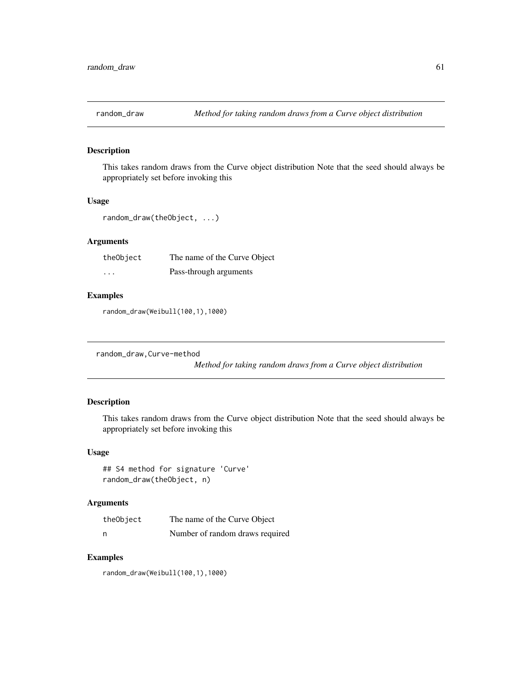This takes random draws from the Curve object distribution Note that the seed should always be appropriately set before invoking this

# Usage

random\_draw(theObject, ...)

# Arguments

| theObject | The name of the Curve Object |
|-----------|------------------------------|
| $\cdots$  | Pass-through arguments       |

# Examples

random\_draw(Weibull(100,1),1000)

```
random_draw,Curve-method
```
*Method for taking random draws from a Curve object distribution*

# Description

This takes random draws from the Curve object distribution Note that the seed should always be appropriately set before invoking this

### Usage

```
## S4 method for signature 'Curve'
random_draw(theObject, n)
```
# Arguments

| theObject | The name of the Curve Object    |
|-----------|---------------------------------|
| n         | Number of random draws required |

### Examples

random\_draw(Weibull(100,1),1000)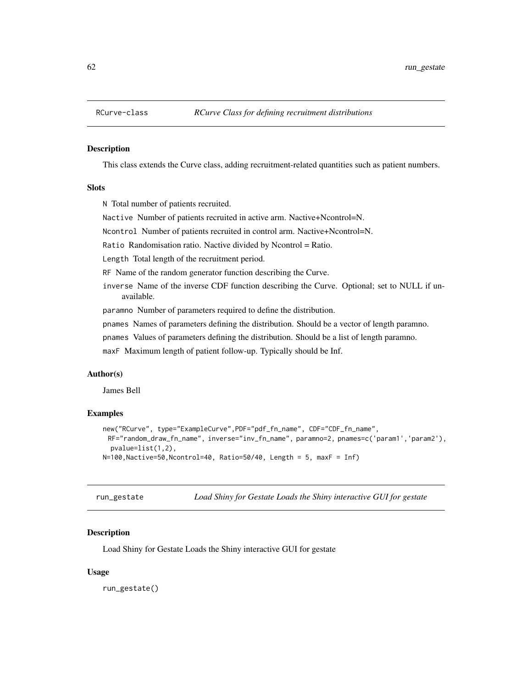This class extends the Curve class, adding recruitment-related quantities such as patient numbers.

### **Slots**

N Total number of patients recruited.

Nactive Number of patients recruited in active arm. Nactive+Ncontrol=N.

Ncontrol Number of patients recruited in control arm. Nactive+Ncontrol=N.

Ratio Randomisation ratio. Nactive divided by Ncontrol = Ratio.

Length Total length of the recruitment period.

RF Name of the random generator function describing the Curve.

inverse Name of the inverse CDF function describing the Curve. Optional; set to NULL if unavailable.

paramno Number of parameters required to define the distribution.

pnames Names of parameters defining the distribution. Should be a vector of length paramno.

pnames Values of parameters defining the distribution. Should be a list of length paramno.

maxF Maximum length of patient follow-up. Typically should be Inf.

#### Author(s)

James Bell

# Examples

```
new("RCurve", type="ExampleCurve",PDF="pdf_fn_name", CDF="CDF_fn_name",
 RF="random_draw_fn_name", inverse="inv_fn_name", paramno=2, pnames=c('param1','param2'),
 pvalue=list(1,2),
N=100,Nactive=50,Ncontrol=40, Ratio=50/40, Length = 5, maxF = Inf)
```
run\_gestate *Load Shiny for Gestate Loads the Shiny interactive GUI for gestate*

### Description

Load Shiny for Gestate Loads the Shiny interactive GUI for gestate

### Usage

run\_gestate()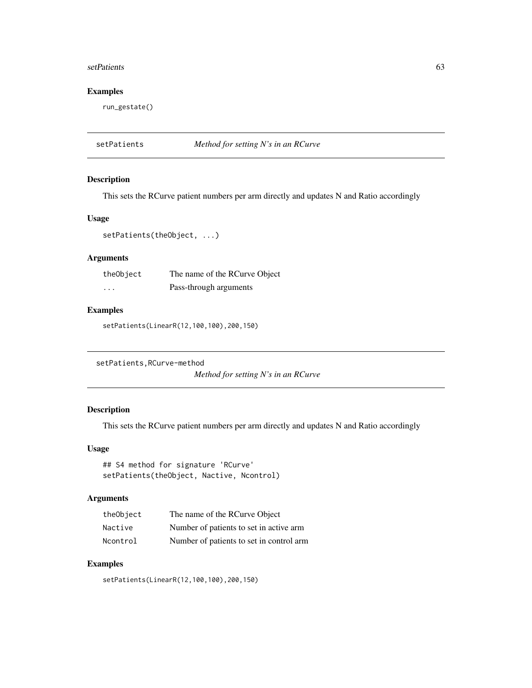### setPatients 63

# Examples

run\_gestate()

setPatients *Method for setting N's in an RCurve*

# Description

This sets the RCurve patient numbers per arm directly and updates N and Ratio accordingly

### Usage

setPatients(theObject, ...)

# Arguments

| theObject | The name of the RCurve Object |
|-----------|-------------------------------|
| $\cdots$  | Pass-through arguments        |

# Examples

setPatients(LinearR(12,100,100),200,150)

setPatients,RCurve-method

*Method for setting N's in an RCurve*

# Description

This sets the RCurve patient numbers per arm directly and updates N and Ratio accordingly

# Usage

## S4 method for signature 'RCurve' setPatients(theObject, Nactive, Ncontrol)

### Arguments

| theObject | The name of the RCurve Object            |
|-----------|------------------------------------------|
| Nactive   | Number of patients to set in active arm  |
| Ncontrol  | Number of patients to set in control arm |

# Examples

setPatients(LinearR(12,100,100),200,150)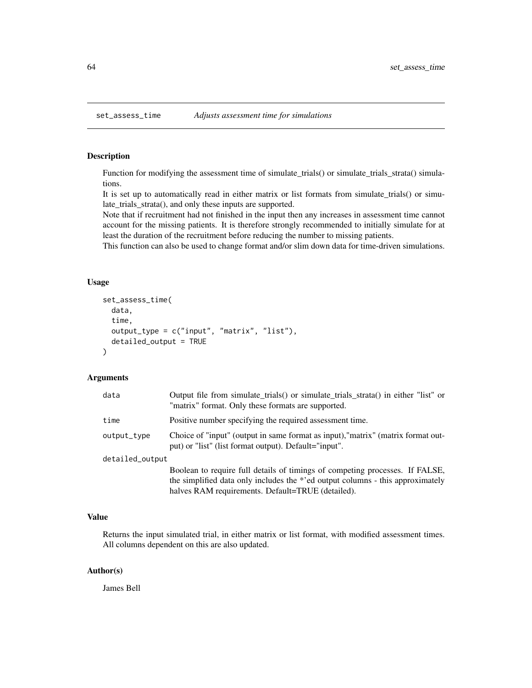Function for modifying the assessment time of simulate\_trials() or simulate\_trials\_strata() simulations.

It is set up to automatically read in either matrix or list formats from simulate\_trials() or simulate\_trials\_strata(), and only these inputs are supported.

Note that if recruitment had not finished in the input then any increases in assessment time cannot account for the missing patients. It is therefore strongly recommended to initially simulate for at least the duration of the recruitment before reducing the number to missing patients.

This function can also be used to change format and/or slim down data for time-driven simulations.

# Usage

```
set_assess_time(
  data,
  time,
  output_type = c("input", "matrix", "list"),
  detailed_output = TRUE
)
```
### Arguments

| data            | Output file from simulate_trials() or simulate_trials_strata() in either "list" or<br>"matrix" format. Only these formats are supported.  |
|-----------------|-------------------------------------------------------------------------------------------------------------------------------------------|
| time            | Positive number specifying the required assessment time.                                                                                  |
| output_type     | Choice of "input" (output in same format as input), "matrix" (matrix format out-<br>put) or "list" (list format output). Default="input". |
| detailed_output |                                                                                                                                           |
|                 | Boolean to require full details of timings of competing processes. If FALSE,                                                              |
|                 | the simplified data only includes the *'ed output columns - this approximately                                                            |
|                 | halves RAM requirements. Default=TRUE (detailed).                                                                                         |

### Value

Returns the input simulated trial, in either matrix or list format, with modified assessment times. All columns dependent on this are also updated.

### Author(s)

James Bell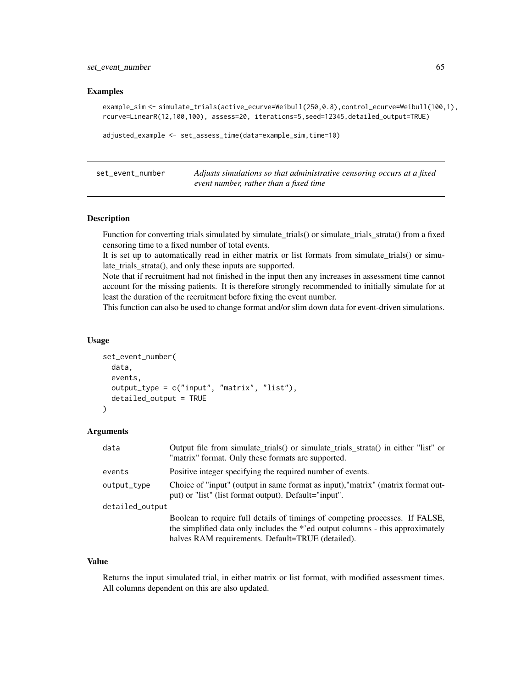set\_event\_number 65

### Examples

```
example_sim <- simulate_trials(active_ecurve=Weibull(250,0.8),control_ecurve=Weibull(100,1),
rcurve=LinearR(12,100,100), assess=20, iterations=5,seed=12345,detailed_output=TRUE)
```

```
adjusted_example <- set_assess_time(data=example_sim,time=10)
```
set\_event\_number *Adjusts simulations so that administrative censoring occurs at a fixed event number, rather than a fixed time*

# Description

Function for converting trials simulated by simulate\_trials() or simulate\_trials\_strata() from a fixed censoring time to a fixed number of total events.

It is set up to automatically read in either matrix or list formats from simulate\_trials() or simulate trials strata(), and only these inputs are supported.

Note that if recruitment had not finished in the input then any increases in assessment time cannot account for the missing patients. It is therefore strongly recommended to initially simulate for at least the duration of the recruitment before fixing the event number.

This function can also be used to change format and/or slim down data for event-driven simulations.

### Usage

```
set_event_number(
  data,
  events,
  output_type = c("input", "matrix", "list"),
  detailed_output = TRUE)
```
### Arguments

| data            | Output file from simulate_trials() or simulate_trials_strata() in either "list" or<br>"matrix" format. Only these formats are supported.                                                                            |  |
|-----------------|---------------------------------------------------------------------------------------------------------------------------------------------------------------------------------------------------------------------|--|
| events          | Positive integer specifying the required number of events.                                                                                                                                                          |  |
| output_type     | Choice of "input" (output in same format as input), "matrix" (matrix format out-<br>put) or "list" (list format output). Default="input".                                                                           |  |
| detailed_output |                                                                                                                                                                                                                     |  |
|                 | Boolean to require full details of timings of competing processes. If FALSE,<br>the simplified data only includes the *'ed output columns - this approximately<br>halves RAM requirements. Default=TRUE (detailed). |  |

#### Value

Returns the input simulated trial, in either matrix or list format, with modified assessment times. All columns dependent on this are also updated.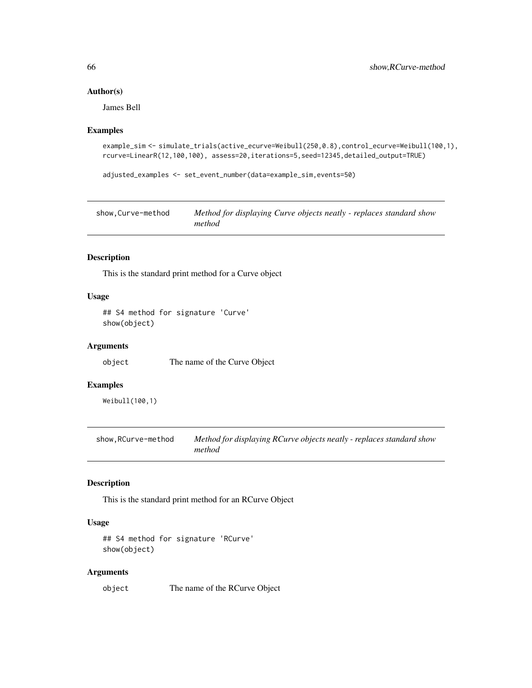# Author(s)

James Bell

### Examples

```
example_sim <- simulate_trials(active_ecurve=Weibull(250,0.8),control_ecurve=Weibull(100,1),
rcurve=LinearR(12,100,100), assess=20,iterations=5,seed=12345,detailed_output=TRUE)
```

```
adjusted_examples <- set_event_number(data=example_sim,events=50)
```

| show.Curve-method | Method for displaying Curve objects neatly - replaces standard show |
|-------------------|---------------------------------------------------------------------|
|                   | method                                                              |

# Description

This is the standard print method for a Curve object

# Usage

```
## S4 method for signature 'Curve'
show(object)
```
### Arguments

object The name of the Curve Object

### Examples

Weibull(100,1)

show,RCurve-method *Method for displaying RCurve objects neatly - replaces standard show method*

# Description

This is the standard print method for an RCurve Object

# Usage

```
## S4 method for signature 'RCurve'
show(object)
```
### Arguments

object The name of the RCurve Object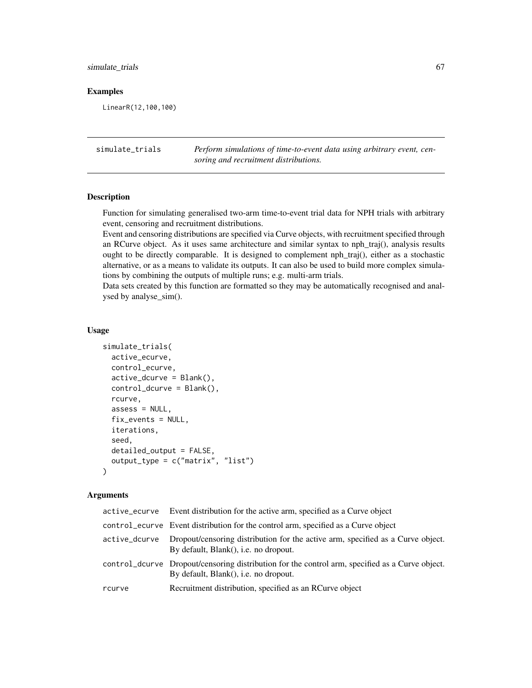# simulate\_trials 67

### Examples

LinearR(12,100,100)

simulate\_trials *Perform simulations of time-to-event data using arbitrary event, censoring and recruitment distributions.*

# **Description**

Function for simulating generalised two-arm time-to-event trial data for NPH trials with arbitrary event, censoring and recruitment distributions.

Event and censoring distributions are specified via Curve objects, with recruitment specified through an RCurve object. As it uses same architecture and similar syntax to nph\_traj(), analysis results ought to be directly comparable. It is designed to complement nph\_traj(), either as a stochastic alternative, or as a means to validate its outputs. It can also be used to build more complex simulations by combining the outputs of multiple runs; e.g. multi-arm trials.

Data sets created by this function are formatted so they may be automatically recognised and analysed by analyse\_sim().

### Usage

```
simulate_trials(
  active_ecurve,
  control_ecurve,
  active_dcurve = Blank(),
  control_dcurve = Blank(),
  rcurve,
  assess = NULL,fix_events = NULL,
  iterations,
  seed,
  detailed_output = FALSE,
  output_type = c("matrix", "list")
)
```
### Arguments

| active_ecurve | Event distribution for the active arm, specified as a Curve object                                                                       |
|---------------|------------------------------------------------------------------------------------------------------------------------------------------|
|               | control ecurve Event distribution for the control arm, specified as a Curve object                                                       |
| active_dcurve | Dropout/censoring distribution for the active arm, specified as a Curve object.<br>By default, Blank(), i.e. no dropout.                 |
|               | control_dcurve Dropout/censoring distribution for the control arm, specified as a Curve object.<br>By default, Blank(), i.e. no dropout. |
| rcurve        | Recruitment distribution, specified as an RCurve object                                                                                  |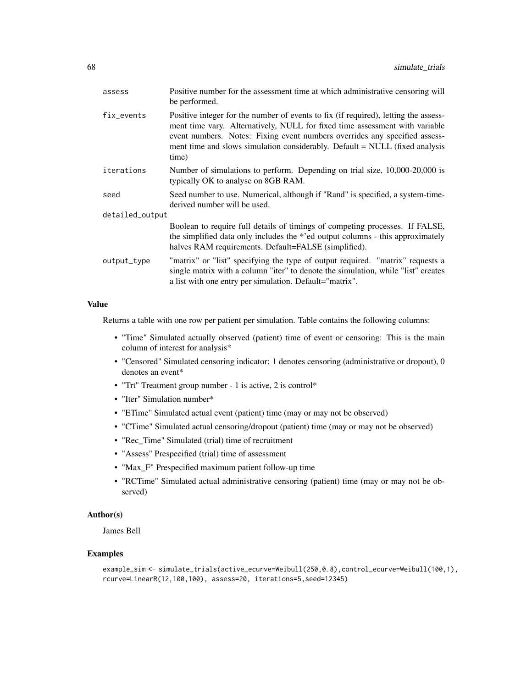| assess          | Positive number for the assessment time at which administrative censoring will<br>be performed.                                                                                                                                                                                                                                          |  |
|-----------------|------------------------------------------------------------------------------------------------------------------------------------------------------------------------------------------------------------------------------------------------------------------------------------------------------------------------------------------|--|
| fix events      | Positive integer for the number of events to fix (if required), letting the assess-<br>ment time vary. Alternatively, NULL for fixed time assessment with variable<br>event numbers. Notes: Fixing event numbers overrides any specified assess-<br>ment time and slows simulation considerably. Default = NULL (fixed analysis<br>time) |  |
| iterations      | Number of simulations to perform. Depending on trial size, 10,000-20,000 is<br>typically OK to analyse on 8GB RAM.                                                                                                                                                                                                                       |  |
| seed            | Seed number to use. Numerical, although if "Rand" is specified, a system-time-<br>derived number will be used.                                                                                                                                                                                                                           |  |
| detailed_output |                                                                                                                                                                                                                                                                                                                                          |  |
|                 | Boolean to require full details of timings of competing processes. If FALSE,<br>the simplified data only includes the *'ed output columns - this approximately<br>halves RAM requirements. Default=FALSE (simplified).                                                                                                                   |  |
| output_type     | "matrix" or "list" specifying the type of output required. "matrix" requests a<br>single matrix with a column "iter" to denote the simulation, while "list" creates<br>a list with one entry per simulation. Default="matrix".                                                                                                           |  |
|                 |                                                                                                                                                                                                                                                                                                                                          |  |

# Value

Returns a table with one row per patient per simulation. Table contains the following columns:

- "Time" Simulated actually observed (patient) time of event or censoring: This is the main column of interest for analysis\*
- "Censored" Simulated censoring indicator: 1 denotes censoring (administrative or dropout), 0 denotes an event\*
- "Trt" Treatment group number 1 is active, 2 is control\*
- "Iter" Simulation number\*
- "ETime" Simulated actual event (patient) time (may or may not be observed)
- "CTime" Simulated actual censoring/dropout (patient) time (may or may not be observed)
- "Rec\_Time" Simulated (trial) time of recruitment
- "Assess" Prespecified (trial) time of assessment
- "Max\_F" Prespecified maximum patient follow-up time
- "RCTime" Simulated actual administrative censoring (patient) time (may or may not be observed)

# Author(s)

James Bell

```
example_sim <- simulate_trials(active_ecurve=Weibull(250,0.8),control_ecurve=Weibull(100,1),
rcurve=LinearR(12,100,100), assess=20, iterations=5,seed=12345)
```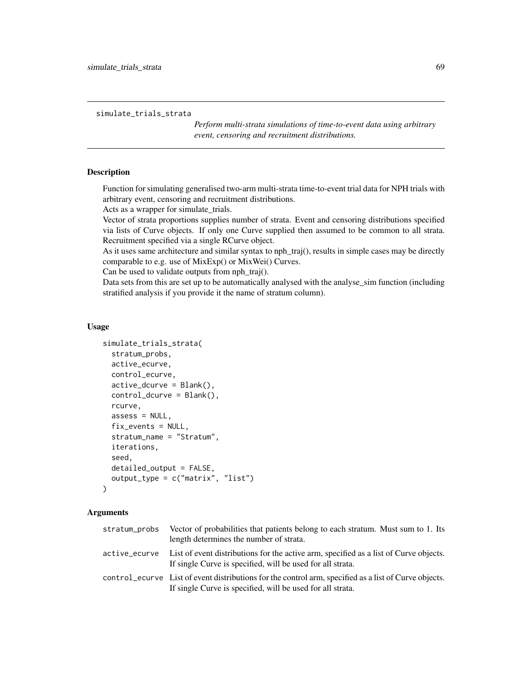simulate\_trials\_strata

*Perform multi-strata simulations of time-to-event data using arbitrary event, censoring and recruitment distributions.*

# Description

Function for simulating generalised two-arm multi-strata time-to-event trial data for NPH trials with arbitrary event, censoring and recruitment distributions.

Acts as a wrapper for simulate\_trials.

Vector of strata proportions supplies number of strata. Event and censoring distributions specified via lists of Curve objects. If only one Curve supplied then assumed to be common to all strata. Recruitment specified via a single RCurve object.

As it uses same architecture and similar syntax to nph\_traj(), results in simple cases may be directly comparable to e.g. use of MixExp() or MixWei() Curves.

Can be used to validate outputs from nph\_traj().

Data sets from this are set up to be automatically analysed with the analyse\_sim function (including stratified analysis if you provide it the name of stratum column).

### Usage

```
simulate_trials_strata(
  stratum_probs,
  active_ecurve,
 control_ecurve,
  active_dcurve = Blank(),
  control_dcurve = Blank(),
  rcurve,
  assess = NULL,
  fix_events = NULL,
  stratum_name = "Stratum",
  iterations,
  seed,
  detailed_output = FALSE,
  output_type = c("matrix", "list")
\lambda
```
### Arguments

| stratum_probs | Vector of probabilities that patients belong to each stratum. Must sum to 1. Its<br>length determines the number of strata.                                         |
|---------------|---------------------------------------------------------------------------------------------------------------------------------------------------------------------|
| active_ecurve | List of event distributions for the active arm, specified as a list of Curve objects.<br>If single Curve is specified, will be used for all strata.                 |
|               | control ecurve List of event distributions for the control arm, specified as a list of Curve objects.<br>If single Curve is specified, will be used for all strata. |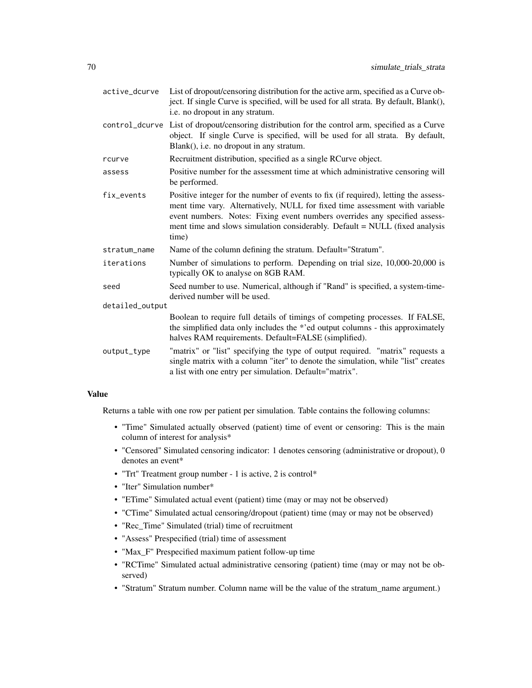| active_dcurve   | List of dropout/censoring distribution for the active arm, specified as a Curve ob-<br>ject. If single Curve is specified, will be used for all strata. By default, Blank(),<br>i.e. no dropout in any stratum.                                                                                                                          |  |
|-----------------|------------------------------------------------------------------------------------------------------------------------------------------------------------------------------------------------------------------------------------------------------------------------------------------------------------------------------------------|--|
|                 | control_dcurve List of dropout/censoring distribution for the control arm, specified as a Curve<br>object. If single Curve is specified, will be used for all strata. By default,<br>Blank(), i.e. no dropout in any stratum.                                                                                                            |  |
| rcurve          | Recruitment distribution, specified as a single RCurve object.                                                                                                                                                                                                                                                                           |  |
| assess          | Positive number for the assessment time at which administrative censoring will<br>be performed.                                                                                                                                                                                                                                          |  |
| fix_events      | Positive integer for the number of events to fix (if required), letting the assess-<br>ment time vary. Alternatively, NULL for fixed time assessment with variable<br>event numbers. Notes: Fixing event numbers overrides any specified assess-<br>ment time and slows simulation considerably. Default = NULL (fixed analysis<br>time) |  |
| stratum_name    | Name of the column defining the stratum. Default="Stratum".                                                                                                                                                                                                                                                                              |  |
| iterations      | Number of simulations to perform. Depending on trial size, 10,000-20,000 is<br>typically OK to analyse on 8GB RAM.                                                                                                                                                                                                                       |  |
| seed            | Seed number to use. Numerical, although if "Rand" is specified, a system-time-<br>derived number will be used.                                                                                                                                                                                                                           |  |
| detailed_output |                                                                                                                                                                                                                                                                                                                                          |  |
|                 | Boolean to require full details of timings of competing processes. If FALSE,<br>the simplified data only includes the *'ed output columns - this approximately<br>halves RAM requirements. Default=FALSE (simplified).                                                                                                                   |  |
| output_type     | "matrix" or "list" specifying the type of output required. "matrix" requests a<br>single matrix with a column "iter" to denote the simulation, while "list" creates<br>a list with one entry per simulation. Default="matrix".                                                                                                           |  |

### Value

Returns a table with one row per patient per simulation. Table contains the following columns:

- "Time" Simulated actually observed (patient) time of event or censoring: This is the main column of interest for analysis\*
- "Censored" Simulated censoring indicator: 1 denotes censoring (administrative or dropout), 0 denotes an event\*
- "Trt" Treatment group number 1 is active, 2 is control\*
- "Iter" Simulation number\*
- "ETime" Simulated actual event (patient) time (may or may not be observed)
- "CTime" Simulated actual censoring/dropout (patient) time (may or may not be observed)
- "Rec\_Time" Simulated (trial) time of recruitment
- "Assess" Prespecified (trial) time of assessment
- "Max\_F" Prespecified maximum patient follow-up time
- "RCTime" Simulated actual administrative censoring (patient) time (may or may not be observed)
- "Stratum" Stratum number. Column name will be the value of the stratum\_name argument.)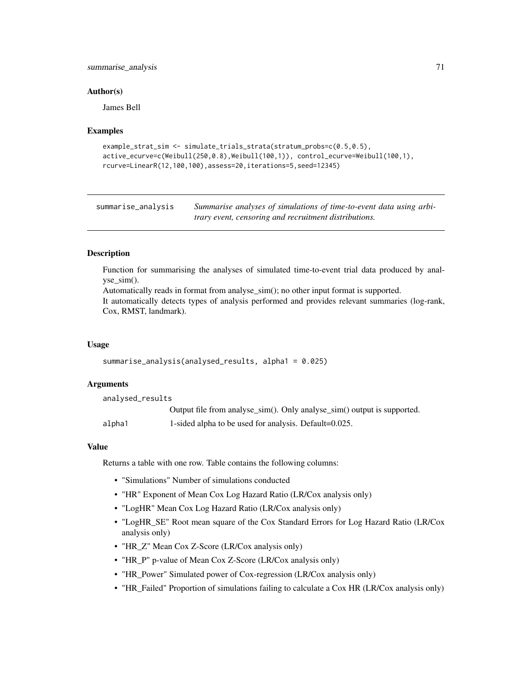# summarise\_analysis 71

### Author(s)

James Bell

### Examples

```
example_strat_sim <- simulate_trials_strata(stratum_probs=c(0.5,0.5),
active_ecurve=c(Weibull(250,0.8),Weibull(100,1)), control_ecurve=Weibull(100,1),
rcurve=LinearR(12,100,100),assess=20,iterations=5,seed=12345)
```

| summarise_analysis | Summarise analyses of simulations of time-to-event data using arbi- |
|--------------------|---------------------------------------------------------------------|
|                    | trary event, censoring and recruitment distributions.               |

# **Description**

Function for summarising the analyses of simulated time-to-event trial data produced by analyse sim().

Automatically reads in format from analyse\_sim(); no other input format is supported. It automatically detects types of analysis performed and provides relevant summaries (log-rank, Cox, RMST, landmark).

### Usage

```
summarise_analysis(analysed_results, alpha1 = 0.025)
```
### **Arguments**

analysed\_results

|        | Output file from analyse_sim(). Only analyse_sim() output is supported. |
|--------|-------------------------------------------------------------------------|
| alpha1 | 1-sided alpha to be used for analysis. Default=0.025.                   |

### Value

Returns a table with one row. Table contains the following columns:

- "Simulations" Number of simulations conducted
- "HR" Exponent of Mean Cox Log Hazard Ratio (LR/Cox analysis only)
- "LogHR" Mean Cox Log Hazard Ratio (LR/Cox analysis only)
- "LogHR\_SE" Root mean square of the Cox Standard Errors for Log Hazard Ratio (LR/Cox analysis only)
- "HR\_Z" Mean Cox Z-Score (LR/Cox analysis only)
- "HR\_P" p-value of Mean Cox Z-Score (LR/Cox analysis only)
- "HR\_Power" Simulated power of Cox-regression (LR/Cox analysis only)
- "HR\_Failed" Proportion of simulations failing to calculate a Cox HR (LR/Cox analysis only)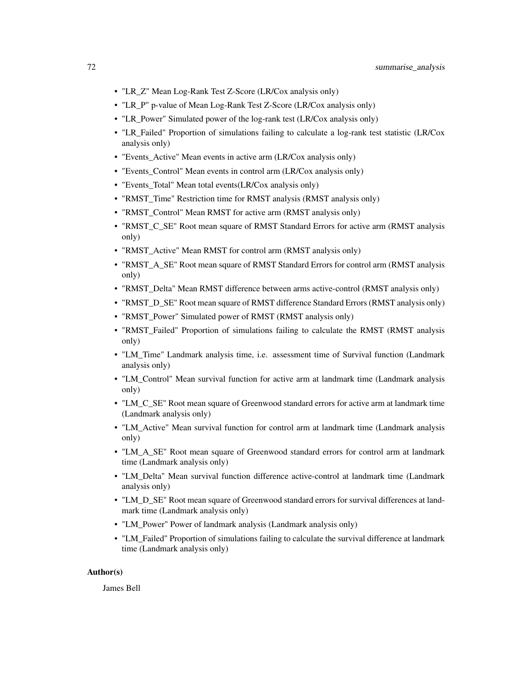- "LR\_Z" Mean Log-Rank Test Z-Score (LR/Cox analysis only)
- "LR\_P" p-value of Mean Log-Rank Test Z-Score (LR/Cox analysis only)
- "LR\_Power" Simulated power of the log-rank test (LR/Cox analysis only)
- "LR\_Failed" Proportion of simulations failing to calculate a log-rank test statistic (LR/Cox analysis only)
- "Events\_Active" Mean events in active arm (LR/Cox analysis only)
- "Events\_Control" Mean events in control arm (LR/Cox analysis only)
- "Events\_Total" Mean total events(LR/Cox analysis only)
- "RMST\_Time" Restriction time for RMST analysis (RMST analysis only)
- "RMST\_Control" Mean RMST for active arm (RMST analysis only)
- "RMST\_C\_SE" Root mean square of RMST Standard Errors for active arm (RMST analysis only)
- "RMST\_Active" Mean RMST for control arm (RMST analysis only)
- "RMST\_A\_SE" Root mean square of RMST Standard Errors for control arm (RMST analysis only)
- "RMST\_Delta" Mean RMST difference between arms active-control (RMST analysis only)
- "RMST\_D\_SE" Root mean square of RMST difference Standard Errors (RMST analysis only)
- "RMST\_Power" Simulated power of RMST (RMST analysis only)
- "RMST\_Failed" Proportion of simulations failing to calculate the RMST (RMST analysis only)
- "LM\_Time" Landmark analysis time, i.e. assessment time of Survival function (Landmark analysis only)
- "LM\_Control" Mean survival function for active arm at landmark time (Landmark analysis only)
- "LM\_C\_SE" Root mean square of Greenwood standard errors for active arm at landmark time (Landmark analysis only)
- "LM\_Active" Mean survival function for control arm at landmark time (Landmark analysis only)
- "LM A SE" Root mean square of Greenwood standard errors for control arm at landmark time (Landmark analysis only)
- "LM\_Delta" Mean survival function difference active-control at landmark time (Landmark analysis only)
- "LM\_D\_SE" Root mean square of Greenwood standard errors for survival differences at landmark time (Landmark analysis only)
- "LM\_Power" Power of landmark analysis (Landmark analysis only)
- "LM\_Failed" Proportion of simulations failing to calculate the survival difference at landmark time (Landmark analysis only)

### Author(s)

James Bell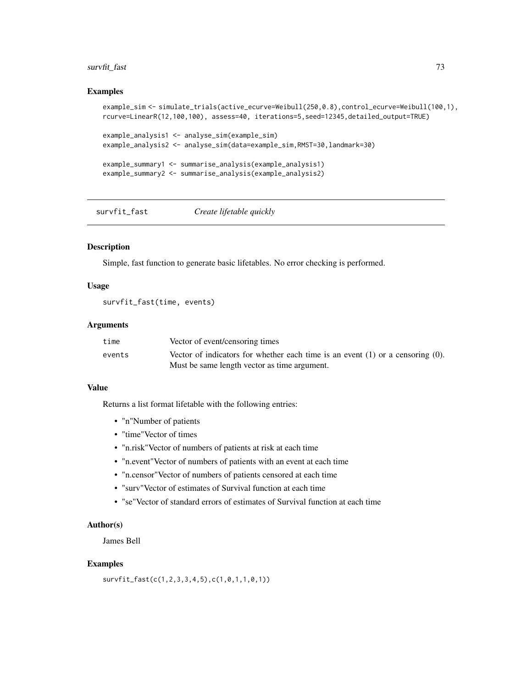# <span id="page-72-0"></span>survfit\_fast 73

#### Examples

```
example_sim <- simulate_trials(active_ecurve=Weibull(250,0.8),control_ecurve=Weibull(100,1),
rcurve=LinearR(12,100,100), assess=40, iterations=5,seed=12345,detailed_output=TRUE)
example_analysis1 <- analyse_sim(example_sim)
example_analysis2 <- analyse_sim(data=example_sim,RMST=30,landmark=30)
example_summary1 <- summarise_analysis(example_analysis1)
example_summary2 <- summarise_analysis(example_analysis2)
```
survfit\_fast *Create lifetable quickly*

#### Description

Simple, fast function to generate basic lifetables. No error checking is performed.

## Usage

survfit\_fast(time, events)

#### Arguments

| time   | Vector of event/censoring times                                                                                                     |
|--------|-------------------------------------------------------------------------------------------------------------------------------------|
| events | Vector of indicators for whether each time is an event $(1)$ or a censoring $(0)$ .<br>Must be same length vector as time argument. |

## Value

Returns a list format lifetable with the following entries:

- "n"Number of patients
- "time"Vector of times
- "n.risk"Vector of numbers of patients at risk at each time
- "n.event"Vector of numbers of patients with an event at each time
- "n.censor"Vector of numbers of patients censored at each time
- "surv"Vector of estimates of Survival function at each time
- "se"Vector of standard errors of estimates of Survival function at each time

#### Author(s)

James Bell

### Examples

survfit\_fast(c(1,2,3,3,4,5),c(1,0,1,1,0,1))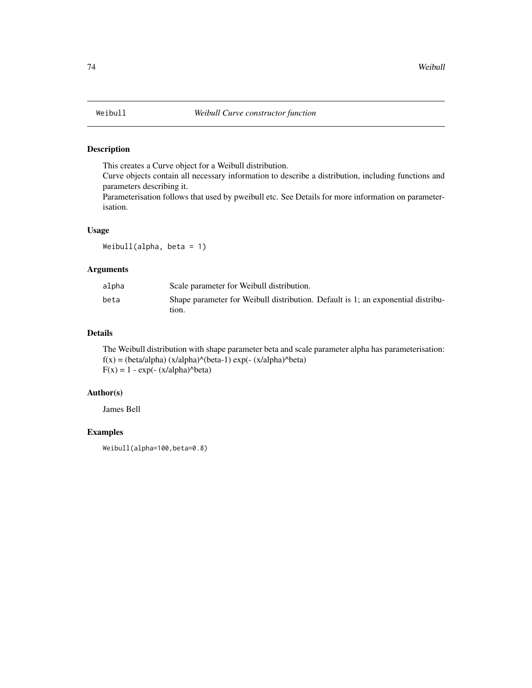<span id="page-73-0"></span>

# Description

This creates a Curve object for a Weibull distribution.

Curve objects contain all necessary information to describe a distribution, including functions and parameters describing it.

Parameterisation follows that used by pweibull etc. See Details for more information on parameterisation.

# Usage

Weibull(alpha, beta = 1)

## Arguments

| alpha | Scale parameter for Weibull distribution.                                                 |
|-------|-------------------------------------------------------------------------------------------|
| beta  | Shape parameter for Weibull distribution. Default is 1; an exponential distribu-<br>tion. |

### Details

The Weibull distribution with shape parameter beta and scale parameter alpha has parameterisation:  $f(x) = (beta/alpha) (x/alpha)^{\wedge} (beta-1) \exp(-(x/alpha)^{\wedge}beta)$  $F(x) = 1 - exp(-(x/alpha)^{\wedge}beta)$ 

# Author(s)

James Bell

# Examples

Weibull(alpha=100,beta=0.8)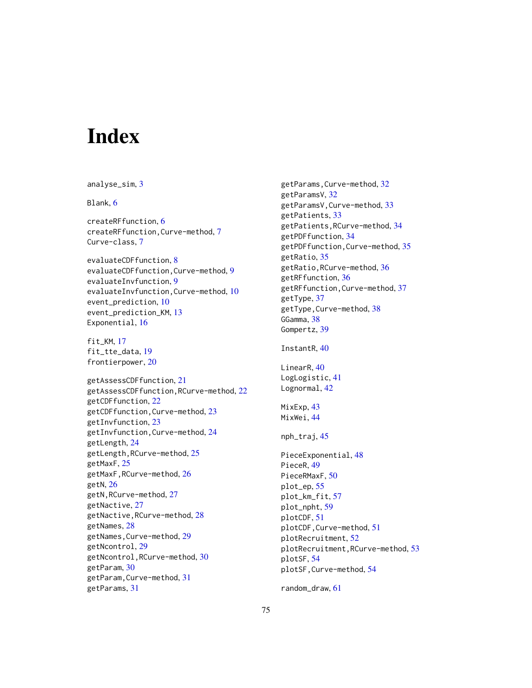# **Index**

analyse\_sim, [3](#page-2-0) Blank, [6](#page-5-0) createRFfunction, [6](#page-5-0) createRFfunction,Curve-method, [7](#page-6-0) Curve-class, [7](#page-6-0) evaluateCDFfunction, [8](#page-7-0) evaluateCDFfunction,Curve-method, [9](#page-8-0) evaluateInvfunction, [9](#page-8-0) evaluateInvfunction,Curve-method, [10](#page-9-0) event\_prediction, [10](#page-9-0) event\_prediction\_KM, [13](#page-12-0) Exponential, [16](#page-15-0) fit\_KM, [17](#page-16-0) fit\_tte\_data, [19](#page-18-0) frontierpower, [20](#page-19-0) getAssessCDFfunction, [21](#page-20-0) getAssessCDFfunction,RCurve-method, [22](#page-21-0) getCDFfunction, [22](#page-21-0) getCDFfunction,Curve-method, [23](#page-22-0) getInvfunction, [23](#page-22-0) getInvfunction,Curve-method, [24](#page-23-0) getLength, [24](#page-23-0) getLength,RCurve-method, [25](#page-24-0) getMaxF, [25](#page-24-0) getMaxF,RCurve-method, [26](#page-25-0) getN, [26](#page-25-0) getN,RCurve-method, [27](#page-26-0) getNactive, [27](#page-26-0) getNactive,RCurve-method, [28](#page-27-0) getNames, [28](#page-27-0) getNames,Curve-method, [29](#page-28-0) getNcontrol, [29](#page-28-0) getNcontrol,RCurve-method, [30](#page-29-0) getParam, [30](#page-29-0) getParam,Curve-method, [31](#page-30-0) getParams, [31](#page-30-0)

getParams,Curve-method, [32](#page-31-0) getParamsV, [32](#page-31-0) getParamsV,Curve-method, [33](#page-32-0) getPatients, [33](#page-32-0) getPatients,RCurve-method, [34](#page-33-0) getPDFfunction, [34](#page-33-0) getPDFfunction,Curve-method, [35](#page-34-0) getRatio, [35](#page-34-0) getRatio,RCurve-method, [36](#page-35-0) getRFfunction, [36](#page-35-0) getRFfunction,Curve-method, [37](#page-36-0) getType, [37](#page-36-0) getType,Curve-method, [38](#page-37-0) GGamma, [38](#page-37-0) Gompertz, [39](#page-38-0) InstantR, [40](#page-39-0) LinearR, [40](#page-39-0) LogLogistic, [41](#page-40-0) Lognormal, [42](#page-41-0) MixExp, [43](#page-42-0) MixWei, [44](#page-43-0) nph\_traj, [45](#page-44-0) PieceExponential, [48](#page-47-0) PieceR, [49](#page-48-0) PieceRMaxF, [50](#page-49-0) plot\_ep, [55](#page-54-0) plot\_km\_fit, [57](#page-56-0) plot\_npht, [59](#page-58-0) plotCDF, [51](#page-50-0) plotCDF,Curve-method, [51](#page-50-0) plotRecruitment, [52](#page-51-0) plotRecruitment,RCurve-method, [53](#page-52-0) plotSF, [54](#page-53-0) plotSF,Curve-method, [54](#page-53-0)

random\_draw, [61](#page-60-0)